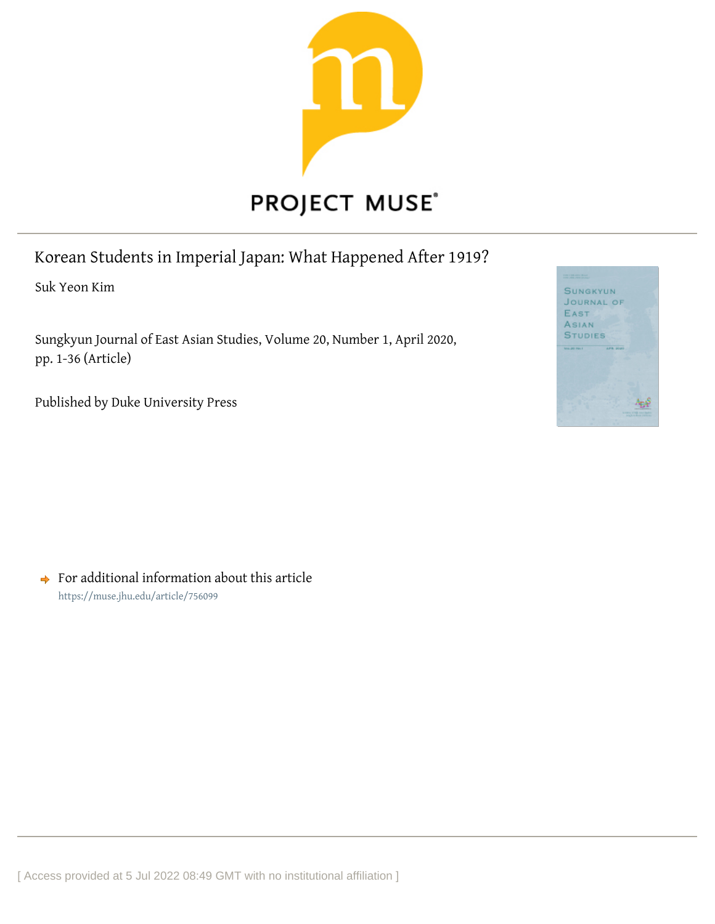

# Korean Students in Imperial Japan: What Happened After 1919?

Suk Yeon Kim

Sungkyun Journal of East Asian Studies, Volume 20, Number 1, April 2020, pp. 1-36 (Article)

Published by Duke University Press



 $\rightarrow$  For additional information about this article <https://muse.jhu.edu/article/756099>

[ Access provided at 5 Jul 2022 08:49 GMT with no institutional affiliation ]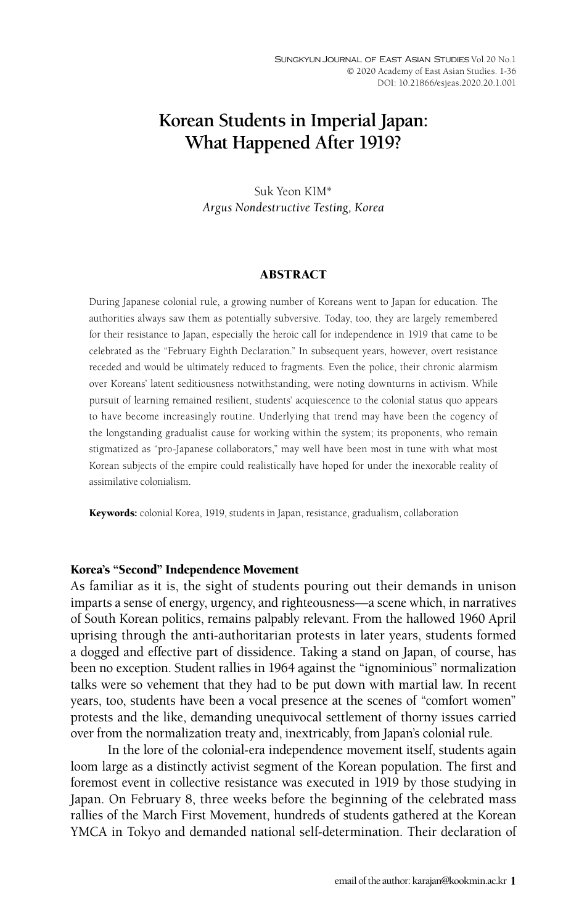## **Korean Students in Imperial Japan: What Happened After 1919?**

Suk Yeon KIM\* *Argus Nondestructive Testing, Korea*

#### ABSTRACT

During Japanese colonial rule, a growing number of Koreans went to Japan for education. The authorities always saw them as potentially subversive. Today, too, they are largely remembered for their resistance to Japan, especially the heroic call for independence in 1919 that came to be celebrated as the "February Eighth Declaration." In subsequent years, however, overt resistance receded and would be ultimately reduced to fragments. Even the police, their chronic alarmism over Koreans' latent seditiousness notwithstanding, were noting downturns in activism. While pursuit of learning remained resilient, students' acquiescence to the colonial status quo appears to have become increasingly routine. Underlying that trend may have been the cogency of the longstanding gradualist cause for working within the system; its proponents, who remain stigmatized as "pro-Japanese collaborators," may well have been most in tune with what most Korean subjects of the empire could realistically have hoped for under the inexorable reality of assimilative colonialism.

Keywords: colonial Korea, 1919, students in Japan, resistance, gradualism, collaboration

#### Korea's "Second" Independence Movement

As familiar as it is, the sight of students pouring out their demands in unison imparts a sense of energy, urgency, and righteousness—a scene which, in narratives of South Korean politics, remains palpably relevant. From the hallowed 1960 April uprising through the anti-authoritarian protests in later years, students formed a dogged and effective part of dissidence. Taking a stand on Japan, of course, has been no exception. Student rallies in 1964 against the "ignominious" normalization talks were so vehement that they had to be put down with martial law. In recent years, too, students have been a vocal presence at the scenes of "comfort women" protests and the like, demanding unequivocal settlement of thorny issues carried over from the normalization treaty and, inextricably, from Japan's colonial rule.

In the lore of the colonial-era independence movement itself, students again loom large as a distinctly activist segment of the Korean population. The first and foremost event in collective resistance was executed in 1919 by those studying in Japan. On February 8, three weeks before the beginning of the celebrated mass rallies of the March First Movement, hundreds of students gathered at the Korean YMCA in Tokyo and demanded national self-determination. Their declaration of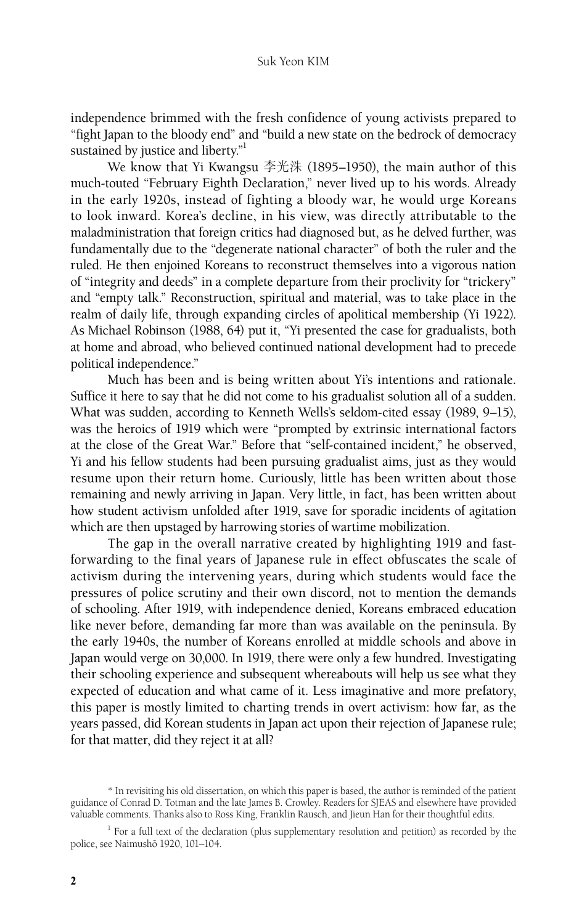independence brimmed with the fresh confidence of young activists prepared to "fight Japan to the bloody end" and "build a new state on the bedrock of democracy sustained by justice and liberty."<sup>1</sup>

We know that Yi Kwangsu 李光洙 (1895–1950), the main author of this much-touted "February Eighth Declaration," never lived up to his words. Already in the early 1920s, instead of fighting a bloody war, he would urge Koreans to look inward. Korea's decline, in his view, was directly attributable to the maladministration that foreign critics had diagnosed but, as he delved further, was fundamentally due to the "degenerate national character" of both the ruler and the ruled. He then enjoined Koreans to reconstruct themselves into a vigorous nation of "integrity and deeds" in a complete departure from their proclivity for "trickery" and "empty talk." Reconstruction, spiritual and material, was to take place in the realm of daily life, through expanding circles of apolitical membership (Yi 1922). As Michael Robinson (1988, 64) put it, "Yi presented the case for gradualists, both at home and abroad, who believed continued national development had to precede political independence."

Much has been and is being written about Yi's intentions and rationale. Suffice it here to say that he did not come to his gradualist solution all of a sudden. What was sudden, according to Kenneth Wells's seldom-cited essay (1989, 9–15), was the heroics of 1919 which were "prompted by extrinsic international factors at the close of the Great War." Before that "self-contained incident," he observed, Yi and his fellow students had been pursuing gradualist aims, just as they would resume upon their return home. Curiously, little has been written about those remaining and newly arriving in Japan. Very little, in fact, has been written about how student activism unfolded after 1919, save for sporadic incidents of agitation which are then upstaged by harrowing stories of wartime mobilization.

The gap in the overall narrative created by highlighting 1919 and fastforwarding to the final years of Japanese rule in effect obfuscates the scale of activism during the intervening years, during which students would face the pressures of police scrutiny and their own discord, not to mention the demands of schooling. After 1919, with independence denied, Koreans embraced education like never before, demanding far more than was available on the peninsula. By the early 1940s, the number of Koreans enrolled at middle schools and above in Japan would verge on 30,000. In 1919, there were only a few hundred. Investigating their schooling experience and subsequent whereabouts will help us see what they expected of education and what came of it. Less imaginative and more prefatory, this paper is mostly limited to charting trends in overt activism: how far, as the years passed, did Korean students in Japan act upon their rejection of Japanese rule; for that matter, did they reject it at all?

<sup>\*</sup> In revisiting his old dissertation, on which this paper is based, the author is reminded of the patient guidance of Conrad D. Totman and the late James B. Crowley. Readers for SJEAS and elsewhere have provided valuable comments. Thanks also to Ross King, Franklin Rausch, and Jieun Han for their thoughtful edits.

 $1$  For a full text of the declaration (plus supplementary resolution and petition) as recorded by the police, see Naimushō 1920, 101-104.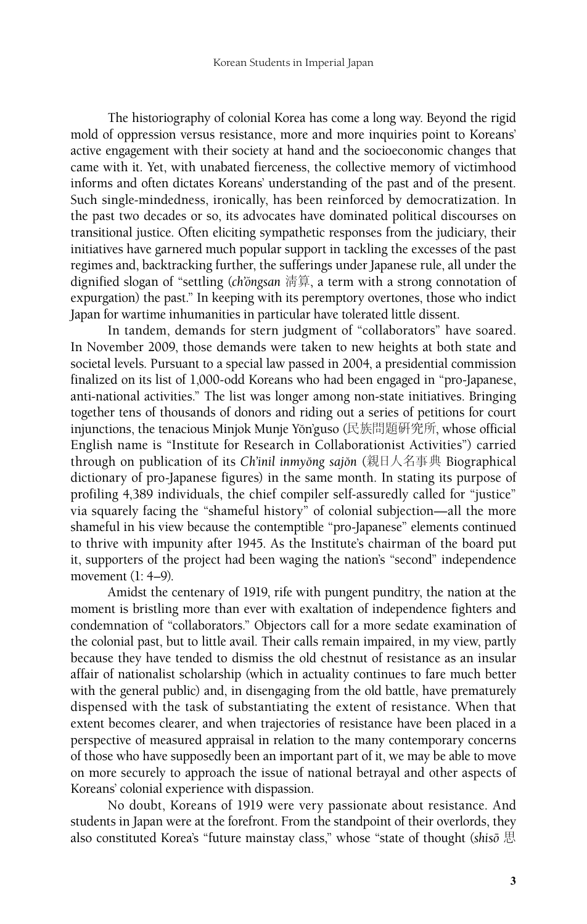The historiography of colonial Korea has come a long way. Beyond the rigid mold of oppression versus resistance, more and more inquiries point to Koreans' active engagement with their society at hand and the socioeconomic changes that came with it. Yet, with unabated fierceness, the collective memory of victimhood informs and often dictates Koreans' understanding of the past and of the present. Such single-mindedness, ironically, has been reinforced by democratization. In the past two decades or so, its advocates have dominated political discourses on transitional justice. Often eliciting sympathetic responses from the judiciary, their initiatives have garnered much popular support in tackling the excesses of the past regimes and, backtracking further, the sufferings under Japanese rule, all under the dignified slogan of "settling (*ch*'ongsan 清算, a term with a strong connotation of expurgation) the past." In keeping with its peremptory overtones, those who indict Japan for wartime inhumanities in particular have tolerated little dissent.

In tandem, demands for stern judgment of "collaborators" have soared. In November 2009, those demands were taken to new heights at both state and societal levels. Pursuant to a special law passed in 2004, a presidential commission finalized on its list of 1,000-odd Koreans who had been engaged in "pro-Japanese, anti-national activities." The list was longer among non-state initiatives. Bringing together tens of thousands of donors and riding out a series of petitions for court injunctions, the tenacious Minjok Munje Yŏn'guso (民族問題硏究所, whose official English name is "Institute for Research in Collaborationist Activities") carried through on publication of its *Ch'inil inmyong sajon* (親日人名事典 Biographical dictionary of pro-Japanese figures) in the same month. In stating its purpose of profiling 4,389 individuals, the chief compiler self-assuredly called for "justice" via squarely facing the "shameful history" of colonial subjection—all the more shameful in his view because the contemptible "pro-Japanese" elements continued to thrive with impunity after 1945. As the Institute's chairman of the board put it, supporters of the project had been waging the nation's "second" independence movement (1: 4–9).

Amidst the centenary of 1919, rife with pungent punditry, the nation at the moment is bristling more than ever with exaltation of independence fighters and condemnation of "collaborators." Objectors call for a more sedate examination of the colonial past, but to little avail. Their calls remain impaired, in my view, partly because they have tended to dismiss the old chestnut of resistance as an insular affair of nationalist scholarship (which in actuality continues to fare much better with the general public) and, in disengaging from the old battle, have prematurely dispensed with the task of substantiating the extent of resistance. When that extent becomes clearer, and when trajectories of resistance have been placed in a perspective of measured appraisal in relation to the many contemporary concerns of those who have supposedly been an important part of it, we may be able to move on more securely to approach the issue of national betrayal and other aspects of Koreans' colonial experience with dispassion.

No doubt, Koreans of 1919 were very passionate about resistance. And students in Japan were at the forefront. From the standpoint of their overlords, they also constituted Korea's "future mainstay class," whose "state of thought (*shisoˉ* 思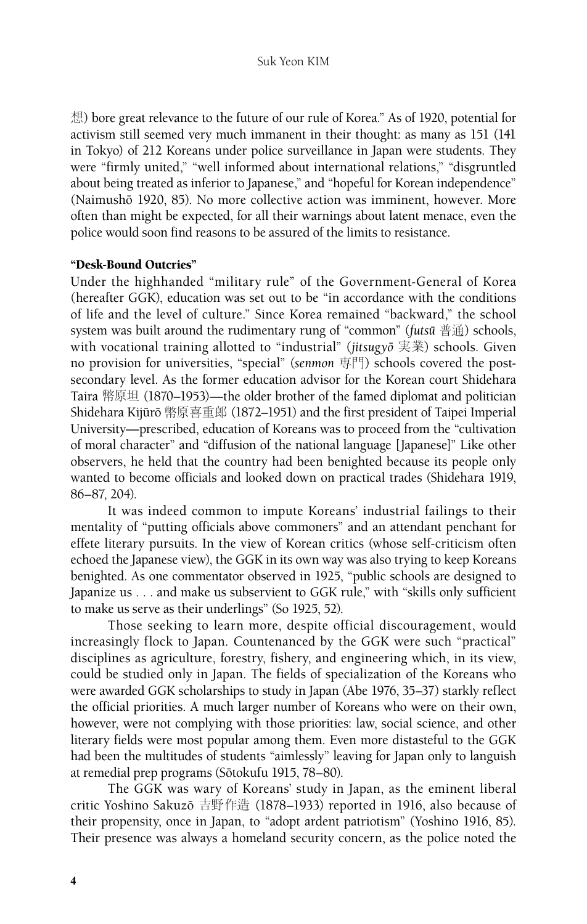想) bore great relevance to the future of our rule of Korea." As of 1920, potential for activism still seemed very much immanent in their thought: as many as 151 (141 in Tokyo) of 212 Koreans under police surveillance in Japan were students. They were "firmly united," "well informed about international relations," "disgruntled about being treated as inferior to Japanese," and "hopeful for Korean independence" (Naimushō 1920, 85). No more collective action was imminent, however. More often than might be expected, for all their warnings about latent menace, even the police would soon find reasons to be assured of the limits to resistance.

## "Desk-Bound Outcries"

Under the highhanded "military rule" of the Government-General of Korea (hereafter GGK), education was set out to be "in accordance with the conditions of life and the level of culture." Since Korea remained "backward," the school system was built around the rudimentary rung of "common" (*futsuˉ* 普通) schools, with vocational training allotted to "industrial" (*jitsugyoˉ* 実業) schools. Given no provision for universities, "special" (*senmon* 専門) schools covered the postsecondary level. As the former education advisor for the Korean court Shidehara Taira 幣原坦 (1870–1953)—the older brother of the famed diplomat and politician Shidehara Kijūrō 幣原喜重郎 (1872–1951) and the first president of Taipei Imperial University—prescribed, education of Koreans was to proceed from the "cultivation of moral character" and "diffusion of the national language [Japanese]" Like other observers, he held that the country had been benighted because its people only wanted to become officials and looked down on practical trades (Shidehara 1919, 86–87, 204).

It was indeed common to impute Koreans' industrial failings to their mentality of "putting officials above commoners" and an attendant penchant for effete literary pursuits. In the view of Korean critics (whose self-criticism often echoed the Japanese view), the GGK in its own way was also trying to keep Koreans benighted. As one commentator observed in 1925, "public schools are designed to Japanize us . . . and make us subservient to GGK rule," with "skills only sufficient to make us serve as their underlings" (So 1925, 52).

Those seeking to learn more, despite official discouragement, would increasingly flock to Japan. Countenanced by the GGK were such "practical" disciplines as agriculture, forestry, fishery, and engineering which, in its view, could be studied only in Japan. The fields of specialization of the Koreans who were awarded GGK scholarships to study in Japan (Abe 1976, 35–37) starkly reflect the official priorities. A much larger number of Koreans who were on their own, however, were not complying with those priorities: law, social science, and other literary fields were most popular among them. Even more distasteful to the GGK had been the multitudes of students "aimlessly" leaving for Japan only to languish at remedial prep programs (Sōtokufu 1915, 78-80).

The GGK was wary of Koreans' study in Japan, as the eminent liberal critic Yoshino Sakuzō 吉野作造 (1878–1933) reported in 1916, also because of their propensity, once in Japan, to "adopt ardent patriotism" (Yoshino 1916, 85). Their presence was always a homeland security concern, as the police noted the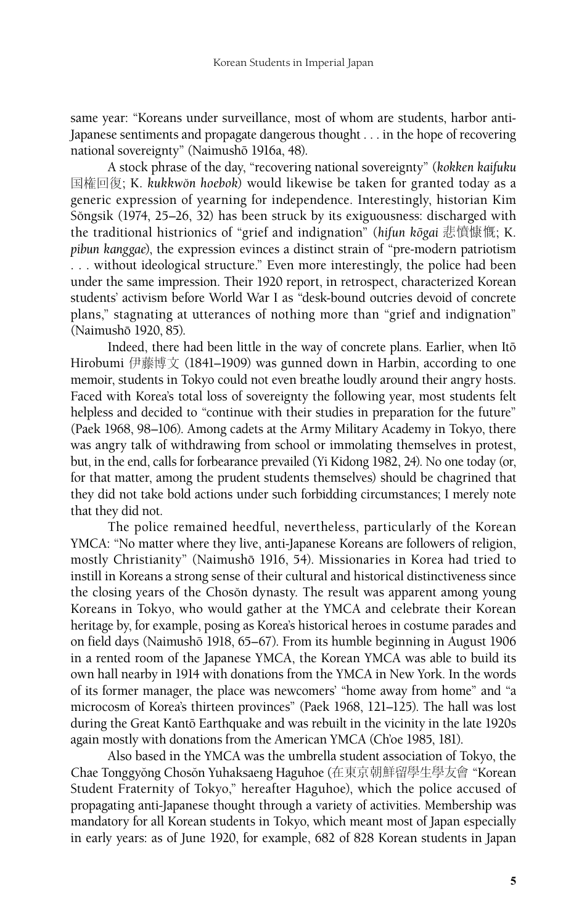same year: "Koreans under surveillance, most of whom are students, harbor anti-Japanese sentiments and propagate dangerous thought . . . in the hope of recovering national sovereignty" (Naimushō 1916a, 48).

A stock phrase of the day, "recovering national sovereignty" (*kokken kaifuku*  国権回復; K. *kukkwo˘n hoebok*) would likewise be taken for granted today as a generic expression of yearning for independence. Interestingly, historian Kim Sŏngsik (1974, 25–26, 32) has been struck by its exiguousness: discharged with the traditional histrionics of "grief and indignation" (hifun kōgai 悲憤慷慨; K. *pibun kanggae*), the expression evinces a distinct strain of "pre-modern patriotism ... without ideological structure." Even more interestingly, the police had been under the same impression. Their 1920 report, in retrospect, characterized Korean students' activism before World War I as "desk-bound outcries devoid of concrete plans," stagnating at utterances of nothing more than "grief and indignation" (Naimushō 1920, 85).

Indeed, there had been little in the way of concrete plans. Earlier, when Itō Hirobumi 伊藤博文 (1841–1909) was gunned down in Harbin, according to one memoir, students in Tokyo could not even breathe loudly around their angry hosts. Faced with Korea's total loss of sovereignty the following year, most students felt helpless and decided to "continue with their studies in preparation for the future" (Paek 1968, 98–106). Among cadets at the Army Military Academy in Tokyo, there was angry talk of withdrawing from school or immolating themselves in protest, but, in the end, calls for forbearance prevailed (Yi Kidong 1982, 24). No one today (or, for that matter, among the prudent students themselves) should be chagrined that they did not take bold actions under such forbidding circumstances; I merely note that they did not.

The police remained heedful, nevertheless, particularly of the Korean YMCA: "No matter where they live, anti-Japanese Koreans are followers of religion, mostly Christianity" (Naimushō 1916, 54). Missionaries in Korea had tried to instill in Koreans a strong sense of their cultural and historical distinctiveness since the closing years of the Choson dynasty. The result was apparent among young Koreans in Tokyo, who would gather at the YMCA and celebrate their Korean heritage by, for example, posing as Korea's historical heroes in costume parades and on field days (Naimushō 1918, 65–67). From its humble beginning in August 1906 in a rented room of the Japanese YMCA, the Korean YMCA was able to build its own hall nearby in 1914 with donations from the YMCA in New York. In the words of its former manager, the place was newcomers' "home away from home" and "a microcosm of Korea's thirteen provinces" (Paek 1968, 121–125). The hall was lost during the Great Kantō Earthquake and was rebuilt in the vicinity in the late 1920s again mostly with donations from the American YMCA (Ch'oe 1985, 181).

Also based in the YMCA was the umbrella student association of Tokyo, the Chae Tonggyŏng Chosŏn Yuhaksaeng Haguhoe (在東京朝鮮留學生學友會 "Korean Student Fraternity of Tokyo," hereafter Haguhoe), which the police accused of propagating anti-Japanese thought through a variety of activities. Membership was mandatory for all Korean students in Tokyo, which meant most of Japan especially in early years: as of June 1920, for example, 682 of 828 Korean students in Japan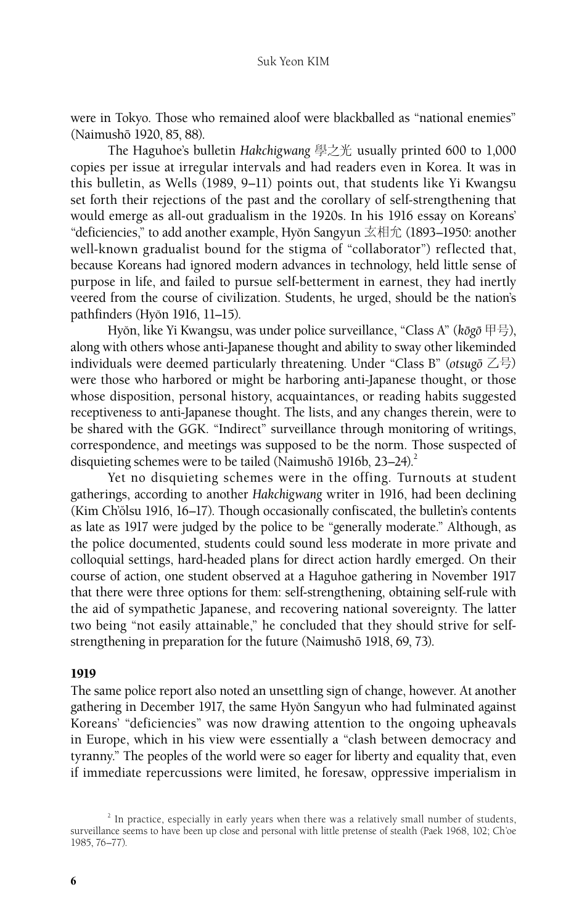were in Tokyo. Those who remained aloof were blackballed as "national enemies" (Naimushō 1920, 85, 88).

The Haguhoe's bulletin *Hakchigwang* 學之光 usually printed 600 to 1,000 copies per issue at irregular intervals and had readers even in Korea. It was in this bulletin, as Wells (1989, 9–11) points out, that students like Yi Kwangsu set forth their rejections of the past and the corollary of self-strengthening that would emerge as all-out gradualism in the 1920s. In his 1916 essay on Koreans' "deficiencies," to add another example, Hyŏn Sangyun  $\overline{\mathcal{Z}}$  #1 $\hat{\mathcal{L}}$  (1893–1950: another well-known gradualist bound for the stigma of "collaborator") reflected that, because Koreans had ignored modern advances in technology, held little sense of purpose in life, and failed to pursue self-betterment in earnest, they had inertly veered from the course of civilization. Students, he urged, should be the nation's pathfinders (Hyŏn 1916, 11–15).

Hyŏn, like Yi Kwangsu, was under police surveillance, "Class A" (kōgō 甲号), along with others whose anti-Japanese thought and ability to sway other likeminded individuals were deemed particularly threatening. Under "Class B" (*otsugoˉ* 乙号) were those who harbored or might be harboring anti-Japanese thought, or those whose disposition, personal history, acquaintances, or reading habits suggested receptiveness to anti-Japanese thought. The lists, and any changes therein, were to be shared with the GGK. "Indirect" surveillance through monitoring of writings, correspondence, and meetings was supposed to be the norm. Those suspected of disquieting schemes were to be tailed (Naimushō 1916b,  $23-24$ ).<sup>2</sup>

Yet no disquieting schemes were in the offing. Turnouts at student gatherings, according to another *Hakchigwang* writer in 1916, had been declining (Kim Ch'ŏlsu 1916, 16–17). Though occasionally confiscated, the bulletin's contents as late as 1917 were judged by the police to be "generally moderate." Although, as the police documented, students could sound less moderate in more private and colloquial settings, hard-headed plans for direct action hardly emerged. On their course of action, one student observed at a Haguhoe gathering in November 1917 that there were three options for them: self-strengthening, obtaining self-rule with the aid of sympathetic Japanese, and recovering national sovereignty. The latter two being "not easily attainable," he concluded that they should strive for selfstrengthening in preparation for the future (Naimushō 1918, 69, 73).

## 1919

The same police report also noted an unsettling sign of change, however. At another gathering in December 1917, the same Hyŏn Sangyun who had fulminated against Koreans' "deficiencies" was now drawing attention to the ongoing upheavals in Europe, which in his view were essentially a "clash between democracy and tyranny." The peoples of the world were so eager for liberty and equality that, even if immediate repercussions were limited, he foresaw, oppressive imperialism in

 $2^{2}$  In practice, especially in early years when there was a relatively small number of students, surveillance seems to have been up close and personal with little pretense of stealth (Paek 1968, 102; Ch'oe 1985, 76–77).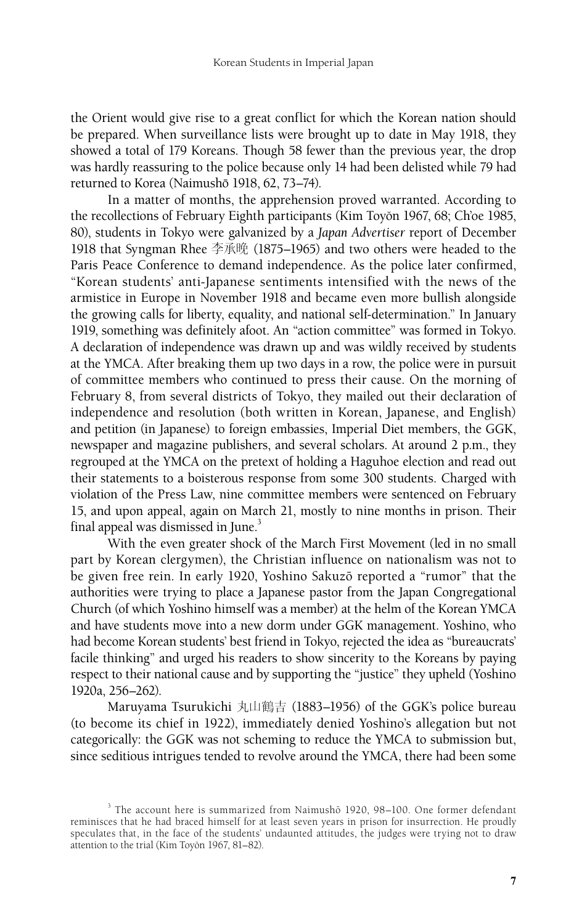the Orient would give rise to a great conflict for which the Korean nation should be prepared. When surveillance lists were brought up to date in May 1918, they showed a total of 179 Koreans. Though 58 fewer than the previous year, the drop was hardly reassuring to the police because only 14 had been delisted while 79 had returned to Korea (Naimushō 1918, 62, 73-74).

In a matter of months, the apprehension proved warranted. According to the recollections of February Eighth participants (Kim Toyon 1967, 68; Ch'oe 1985, 80), students in Tokyo were galvanized by a *Japan Advertiser* report of December 1918 that Syngman Rhee 李承晩 (1875–1965) and two others were headed to the Paris Peace Conference to demand independence. As the police later confirmed, "Korean students' anti-Japanese sentiments intensified with the news of the armistice in Europe in November 1918 and became even more bullish alongside the growing calls for liberty, equality, and national self-determination." In January 1919, something was definitely afoot. An "action committee" was formed in Tokyo. A declaration of independence was drawn up and was wildly received by students at the YMCA. After breaking them up two days in a row, the police were in pursuit of committee members who continued to press their cause. On the morning of February 8, from several districts of Tokyo, they mailed out their declaration of independence and resolution (both written in Korean, Japanese, and English) and petition (in Japanese) to foreign embassies, Imperial Diet members, the GGK, newspaper and magazine publishers, and several scholars. At around 2 p.m., they regrouped at the YMCA on the pretext of holding a Haguhoe election and read out their statements to a boisterous response from some 300 students. Charged with violation of the Press Law, nine committee members were sentenced on February 15, and upon appeal, again on March 21, mostly to nine months in prison. Their final appeal was dismissed in June.<sup>3</sup>

With the even greater shock of the March First Movement (led in no small part by Korean clergymen), the Christian influence on nationalism was not to be given free rein. In early 1920, Yoshino Sakuzō reported a "rumor" that the authorities were trying to place a Japanese pastor from the Japan Congregational Church (of which Yoshino himself was a member) at the helm of the Korean YMCA and have students move into a new dorm under GGK management. Yoshino, who had become Korean students' best friend in Tokyo, rejected the idea as "bureaucrats' facile thinking" and urged his readers to show sincerity to the Koreans by paying respect to their national cause and by supporting the "justice" they upheld (Yoshino 1920a, 256–262).

Maruyama Tsurukichi 丸山鶴吉 (1883–1956) of the GGK's police bureau (to become its chief in 1922), immediately denied Yoshino's allegation but not categorically: the GGK was not scheming to reduce the YMCA to submission but, since seditious intrigues tended to revolve around the YMCA, there had been some

<sup>&</sup>lt;sup>3</sup> The account here is summarized from Naimushō 1920, 98-100. One former defendant reminisces that he had braced himself for at least seven years in prison for insurrection. He proudly speculates that, in the face of the students' undaunted attitudes, the judges were trying not to draw attention to the trial (Kim Toyon 1967, 81-82).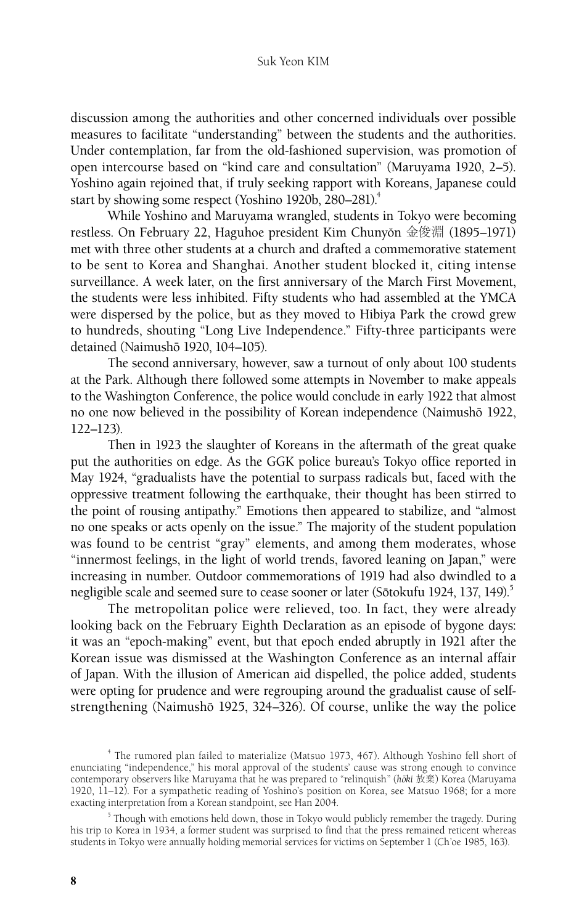#### Suk Yeon KIM

discussion among the authorities and other concerned individuals over possible measures to facilitate "understanding" between the students and the authorities. Under contemplation, far from the old-fashioned supervision, was promotion of open intercourse based on "kind care and consultation" (Maruyama 1920, 2–5). Yoshino again rejoined that, if truly seeking rapport with Koreans, Japanese could start by showing some respect (Yoshino 1920b, 280–281).<sup>4</sup>

While Yoshino and Maruyama wrangled, students in Tokyo were becoming restless. On February 22, Haguhoe president Kim Chunyŏn 金俊淵 (1895–1971) met with three other students at a church and drafted a commemorative statement to be sent to Korea and Shanghai. Another student blocked it, citing intense surveillance. A week later, on the first anniversary of the March First Movement, the students were less inhibited. Fifty students who had assembled at the YMCA were dispersed by the police, but as they moved to Hibiya Park the crowd grew to hundreds, shouting "Long Live Independence." Fifty-three participants were detained (Naimushō 1920, 104-105).

The second anniversary, however, saw a turnout of only about 100 students at the Park. Although there followed some attempts in November to make appeals to the Washington Conference, the police would conclude in early 1922 that almost no one now believed in the possibility of Korean independence (Naimushō 1922, 122–123).

Then in 1923 the slaughter of Koreans in the aftermath of the great quake put the authorities on edge. As the GGK police bureau's Tokyo office reported in May 1924, "gradualists have the potential to surpass radicals but, faced with the oppressive treatment following the earthquake, their thought has been stirred to the point of rousing antipathy." Emotions then appeared to stabilize, and "almost no one speaks or acts openly on the issue." The majority of the student population was found to be centrist "gray" elements, and among them moderates, whose "innermost feelings, in the light of world trends, favored leaning on Japan," were increasing in number. Outdoor commemorations of 1919 had also dwindled to a negligible scale and seemed sure to cease sooner or later (Sōtokufu 1924, 137, 149).<sup>5</sup>

The metropolitan police were relieved, too. In fact, they were already looking back on the February Eighth Declaration as an episode of bygone days: it was an "epoch-making" event, but that epoch ended abruptly in 1921 after the Korean issue was dismissed at the Washington Conference as an internal affair of Japan. With the illusion of American aid dispelled, the police added, students were opting for prudence and were regrouping around the gradualist cause of selfstrengthening (Naimushō 1925, 324–326). Of course, unlike the way the police

<sup>4</sup> The rumored plan failed to materialize (Matsuo 1973, 467). Although Yoshino fell short of enunciating "independence," his moral approval of the students' cause was strong enough to convince contemporary observers like Maruyama that he was prepared to "relinquish" (hōki 放棄) Korea (Maruyama 1920, 11–12). For a sympathetic reading of Yoshino's position on Korea, see Matsuo 1968; for a more exacting interpretation from a Korean standpoint, see Han 2004.

<sup>&</sup>lt;sup>5</sup> Though with emotions held down, those in Tokyo would publicly remember the tragedy. During his trip to Korea in 1934, a former student was surprised to find that the press remained reticent whereas students in Tokyo were annually holding memorial services for victims on September 1 (Ch'oe 1985, 163).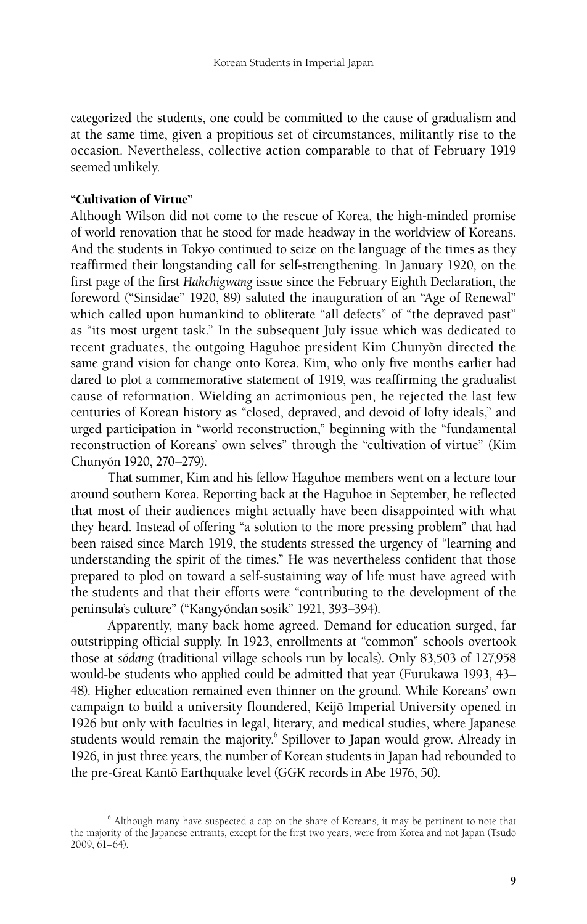categorized the students, one could be committed to the cause of gradualism and at the same time, given a propitious set of circumstances, militantly rise to the occasion. Nevertheless, collective action comparable to that of February 1919 seemed unlikely.

## "Cultivation of Virtue"

Although Wilson did not come to the rescue of Korea, the high-minded promise of world renovation that he stood for made headway in the worldview of Koreans. And the students in Tokyo continued to seize on the language of the times as they reaffirmed their longstanding call for self-strengthening. In January 1920, on the first page of the first *Hakchigwang* issue since the February Eighth Declaration, the foreword ("Sinsidae" 1920, 89) saluted the inauguration of an "Age of Renewal" which called upon humankind to obliterate "all defects" of "the depraved past" as "its most urgent task." In the subsequent July issue which was dedicated to recent graduates, the outgoing Haguhoe president Kim Chunyŏn directed the same grand vision for change onto Korea. Kim, who only five months earlier had dared to plot a commemorative statement of 1919, was reaffirming the gradualist cause of reformation. Wielding an acrimonious pen, he rejected the last few centuries of Korean history as "closed, depraved, and devoid of lofty ideals," and urged participation in "world reconstruction," beginning with the "fundamental reconstruction of Koreans' own selves" through the "cultivation of virtue" (Kim Chunyŏn 1920, 270-279).

That summer, Kim and his fellow Haguhoe members went on a lecture tour around southern Korea. Reporting back at the Haguhoe in September, he reflected that most of their audiences might actually have been disappointed with what they heard. Instead of offering "a solution to the more pressing problem" that had been raised since March 1919, the students stressed the urgency of "learning and understanding the spirit of the times." He was nevertheless confident that those prepared to plod on toward a self-sustaining way of life must have agreed with the students and that their efforts were "contributing to the development of the peninsula's culture" ("Kangyŏndan sosik" 1921, 393-394).

Apparently, many back home agreed. Demand for education surged, far outstripping official supply. In 1923, enrollments at "common" schools overtook those at *so˘dang* (traditional village schools run by locals). Only 83,503 of 127,958 would-be students who applied could be admitted that year (Furukawa 1993, 43– 48). Higher education remained even thinner on the ground. While Koreans' own campaign to build a university floundered, Keijō Imperial University opened in 1926 but only with faculties in legal, literary, and medical studies, where Japanese students would remain the majority.<sup>6</sup> Spillover to Japan would grow. Already in 1926, in just three years, the number of Korean students in Japan had rebounded to the pre-Great Kantō Earthquake level (GGK records in Abe 1976, 50).

<sup>&</sup>lt;sup>6</sup> Although many have suspected a cap on the share of Koreans, it may be pertinent to note that the majority of the Japanese entrants, except for the first two years, were from Korea and not Japan (Tsudō 2009, 61–64).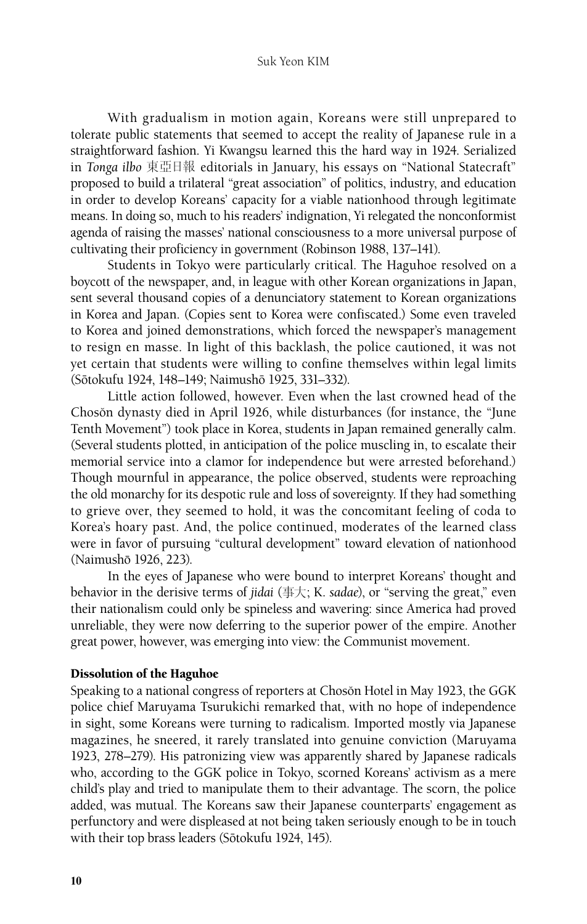With gradualism in motion again, Koreans were still unprepared to tolerate public statements that seemed to accept the reality of Japanese rule in a straightforward fashion. Yi Kwangsu learned this the hard way in 1924. Serialized in *Tonga ilbo* 東亞日報 editorials in January, his essays on "National Statecraft" proposed to build a trilateral "great association" of politics, industry, and education in order to develop Koreans' capacity for a viable nationhood through legitimate means. In doing so, much to his readers' indignation, Yi relegated the nonconformist agenda of raising the masses' national consciousness to a more universal purpose of cultivating their proficiency in government (Robinson 1988, 137–141).

Students in Tokyo were particularly critical. The Haguhoe resolved on a boycott of the newspaper, and, in league with other Korean organizations in Japan, sent several thousand copies of a denunciatory statement to Korean organizations in Korea and Japan. (Copies sent to Korea were confiscated.) Some even traveled to Korea and joined demonstrations, which forced the newspaper's management to resign en masse. In light of this backlash, the police cautioned, it was not yet certain that students were willing to confine themselves within legal limits (Sōtokufu 1924, 148–149; Naimushō 1925, 331–332).

Little action followed, however. Even when the last crowned head of the Choson dynasty died in April 1926, while disturbances (for instance, the "June Tenth Movement") took place in Korea, students in Japan remained generally calm. (Several students plotted, in anticipation of the police muscling in, to escalate their memorial service into a clamor for independence but were arrested beforehand.) Though mournful in appearance, the police observed, students were reproaching the old monarchy for its despotic rule and loss of sovereignty. If they had something to grieve over, they seemed to hold, it was the concomitant feeling of coda to Korea's hoary past. And, the police continued, moderates of the learned class were in favor of pursuing "cultural development" toward elevation of nationhood (Naimushō 1926, 223).

In the eyes of Japanese who were bound to interpret Koreans' thought and behavior in the derisive terms of *jidai* (事大; K. *sadae*), or "serving the great," even their nationalism could only be spineless and wavering: since America had proved unreliable, they were now deferring to the superior power of the empire. Another great power, however, was emerging into view: the Communist movement.

#### Dissolution of the Haguhoe

Speaking to a national congress of reporters at Chosŏn Hotel in May 1923, the GGK police chief Maruyama Tsurukichi remarked that, with no hope of independence in sight, some Koreans were turning to radicalism. Imported mostly via Japanese magazines, he sneered, it rarely translated into genuine conviction (Maruyama 1923, 278–279). His patronizing view was apparently shared by Japanese radicals who, according to the GGK police in Tokyo, scorned Koreans' activism as a mere child's play and tried to manipulate them to their advantage. The scorn, the police added, was mutual. The Koreans saw their Japanese counterparts' engagement as perfunctory and were displeased at not being taken seriously enough to be in touch with their top brass leaders (Sōtokufu 1924, 145).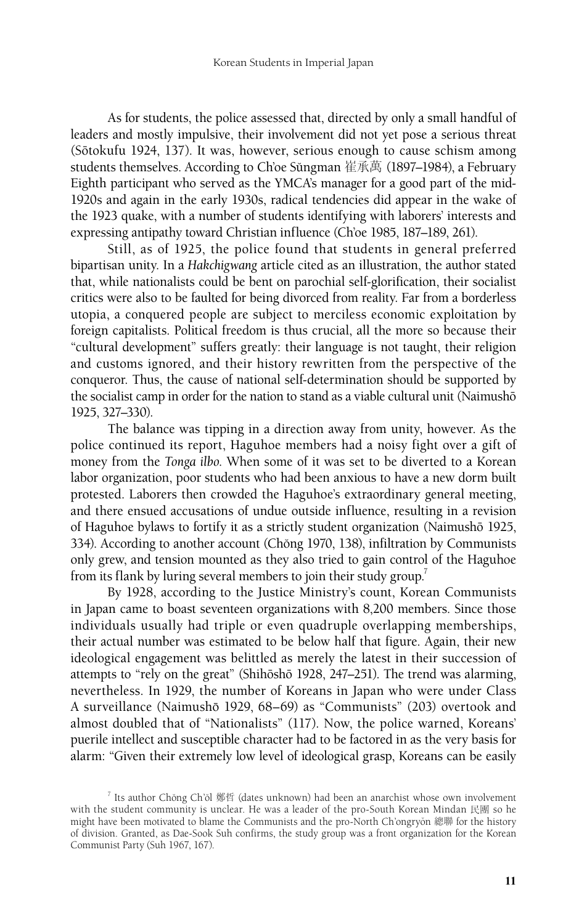As for students, the police assessed that, directed by only a small handful of leaders and mostly impulsive, their involvement did not yet pose a serious threat (Sōtokufu 1924, 137). It was, however, serious enough to cause schism among students themselves. According to Ch'oe Sǔngman 崔承萬 (1897–1984), a February Eighth participant who served as the YMCA's manager for a good part of the mid-1920s and again in the early 1930s, radical tendencies did appear in the wake of the 1923 quake, with a number of students identifying with laborers' interests and expressing antipathy toward Christian influence (Ch'oe 1985, 187–189, 261).

Still, as of 1925, the police found that students in general preferred bipartisan unity. In a *Hakchigwang* article cited as an illustration, the author stated that, while nationalists could be bent on parochial self-glorification, their socialist critics were also to be faulted for being divorced from reality. Far from a borderless utopia, a conquered people are subject to merciless economic exploitation by foreign capitalists. Political freedom is thus crucial, all the more so because their "cultural development" suffers greatly: their language is not taught, their religion and customs ignored, and their history rewritten from the perspective of the conqueror. Thus, the cause of national self-determination should be supported by the socialist camp in order for the nation to stand as a viable cultural unit (Naimushō 1925, 327–330).

The balance was tipping in a direction away from unity, however. As the police continued its report, Haguhoe members had a noisy fight over a gift of money from the *Tonga ilbo*. When some of it was set to be diverted to a Korean labor organization, poor students who had been anxious to have a new dorm built protested. Laborers then crowded the Haguhoe's extraordinary general meeting, and there ensued accusations of undue outside influence, resulting in a revision of Haguhoe bylaws to fortify it as a strictly student organization (Naimushō 1925, 334). According to another account (Chŏng 1970, 138), infiltration by Communists only grew, and tension mounted as they also tried to gain control of the Haguhoe from its flank by luring several members to join their study group.<sup>7</sup>

By 1928, according to the Justice Ministry's count, Korean Communists in Japan came to boast seventeen organizations with 8,200 members. Since those individuals usually had triple or even quadruple overlapping memberships, their actual number was estimated to be below half that figure. Again, their new ideological engagement was belittled as merely the latest in their succession of attempts to "rely on the great" (Shihōshō 1928, 247–251). The trend was alarming, nevertheless. In 1929, the number of Koreans in Japan who were under Class A surveillance (Naimushō 1929, 68–69) as "Communists" (203) overtook and almost doubled that of "Nationalists" (117). Now, the police warned, Koreans' puerile intellect and susceptible character had to be factored in as the very basis for alarm: "Given their extremely low level of ideological grasp, Koreans can be easily

 $^7$  Its author Chŏng Ch'ŏl 鄭哲 (dates unknown) had been an anarchist whose own involvement with the student community is unclear. He was a leader of the pro-South Korean Mindan 民團 so he might have been motivated to blame the Communists and the pro-North Ch'ongryön 總聯 for the history of division. Granted, as Dae-Sook Suh confirms, the study group was a front organization for the Korean Communist Party (Suh 1967, 167).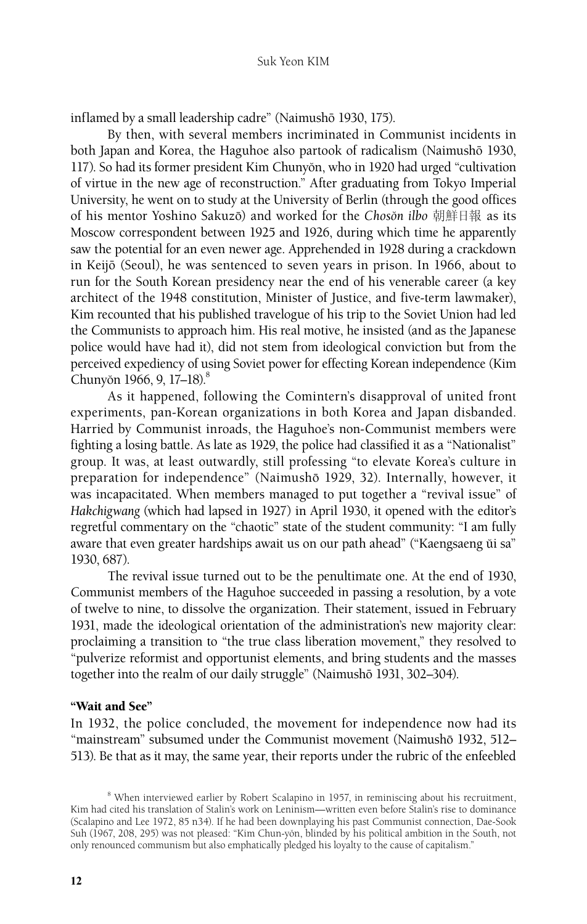inflamed by a small leadership cadre" (Naimushō 1930, 175).

By then, with several members incriminated in Communist incidents in both Japan and Korea, the Haguhoe also partook of radicalism (Naimushō 1930, 117). So had its former president Kim Chunyŏn, who in 1920 had urged "cultivation of virtue in the new age of reconstruction." After graduating from Tokyo Imperial University, he went on to study at the University of Berlin (through the good offices of his mentor Yoshino Sakuzō) and worked for the *Chosŏn ilbo* 朝鮮日報 as its Moscow correspondent between 1925 and 1926, during which time he apparently saw the potential for an even newer age. Apprehended in 1928 during a crackdown in Keijoˉ (Seoul), he was sentenced to seven years in prison. In 1966, about to run for the South Korean presidency near the end of his venerable career (a key architect of the 1948 constitution, Minister of Justice, and five-term lawmaker), Kim recounted that his published travelogue of his trip to the Soviet Union had led the Communists to approach him. His real motive, he insisted (and as the Japanese police would have had it), did not stem from ideological conviction but from the perceived expediency of using Soviet power for effecting Korean independence (Kim Chunyŏn 1966, 9, 17–18).<sup>8</sup>

As it happened, following the Comintern's disapproval of united front experiments, pan-Korean organizations in both Korea and Japan disbanded. Harried by Communist inroads, the Haguhoe's non-Communist members were fighting a losing battle. As late as 1929, the police had classified it as a "Nationalist" group. It was, at least outwardly, still professing "to elevate Korea's culture in preparation for independence" (Naimushō 1929, 32). Internally, however, it was incapacitated. When members managed to put together a "revival issue" of *Hakchigwang* (which had lapsed in 1927) in April 1930, it opened with the editor's regretful commentary on the "chaotic" state of the student community: "I am fully aware that even greater hardships await us on our path ahead" ("Kaengsaeng ŭi sa" 1930, 687).

The revival issue turned out to be the penultimate one. At the end of 1930, Communist members of the Haguhoe succeeded in passing a resolution, by a vote of twelve to nine, to dissolve the organization. Their statement, issued in February 1931, made the ideological orientation of the administration's new majority clear: proclaiming a transition to "the true class liberation movement," they resolved to "pulverize reformist and opportunist elements, and bring students and the masses together into the realm of our daily struggle" (Naimushō 1931, 302–304).

## "Wait and See"

In 1932, the police concluded, the movement for independence now had its "mainstream" subsumed under the Communist movement (Naimushō 1932, 512– 513). Be that as it may, the same year, their reports under the rubric of the enfeebled

<sup>&</sup>lt;sup>8</sup> When interviewed earlier by Robert Scalapino in 1957, in reminiscing about his recruitment, Kim had cited his translation of Stalin's work on Leninism—written even before Stalin's rise to dominance (Scalapino and Lee 1972, 85 n34). If he had been downplaying his past Communist connection, Dae-Sook Suh (1967, 208, 295) was not pleased: "Kim Chun-yŏn, blinded by his political ambition in the South, not only renounced communism but also emphatically pledged his loyalty to the cause of capitalism."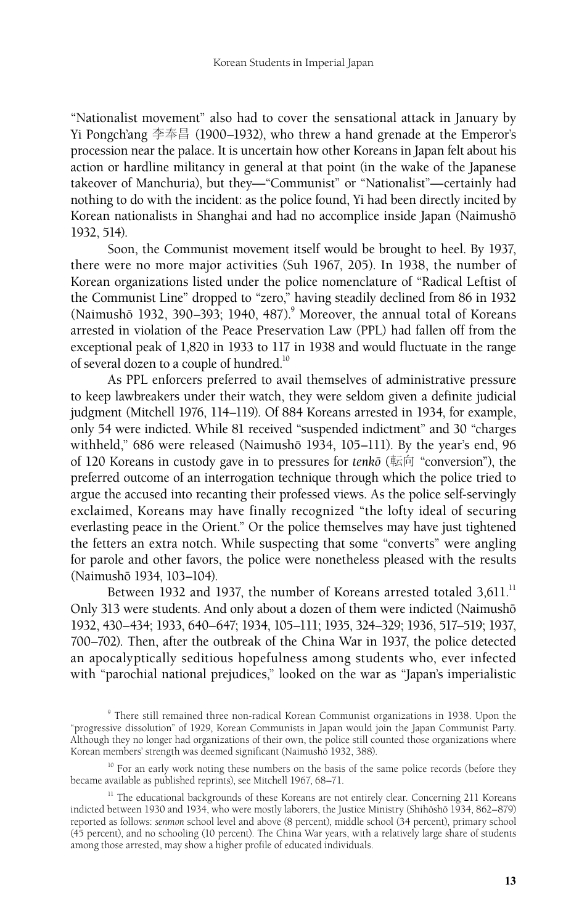"Nationalist movement" also had to cover the sensational attack in January by Yi Pongch'ang 李奉昌 (1900–1932), who threw a hand grenade at the Emperor's procession near the palace. It is uncertain how other Koreans in Japan felt about his action or hardline militancy in general at that point (in the wake of the Japanese takeover of Manchuria), but they—"Communist" or "Nationalist"—certainly had nothing to do with the incident: as the police found, Yi had been directly incited by Korean nationalists in Shanghai and had no accomplice inside Japan (Naimushō 1932, 514).

Soon, the Communist movement itself would be brought to heel. By 1937, there were no more major activities (Suh 1967, 205). In 1938, the number of Korean organizations listed under the police nomenclature of "Radical Leftist of the Communist Line" dropped to "zero," having steadily declined from 86 in 1932 (Naimushō 1932, 390-393; 1940, 487). $^9$  Moreover, the annual total of Koreans arrested in violation of the Peace Preservation Law (PPL) had fallen off from the exceptional peak of 1,820 in 1933 to 117 in 1938 and would fluctuate in the range of several dozen to a couple of hundred.<sup>10</sup>

As PPL enforcers preferred to avail themselves of administrative pressure to keep lawbreakers under their watch, they were seldom given a definite judicial judgment (Mitchell 1976, 114–119). Of 884 Koreans arrested in 1934, for example, only 54 were indicted. While 81 received "suspended indictment" and 30 "charges withheld," 686 were released (Naimushō 1934, 105-111). By the year's end, 96 of 120 Koreans in custody gave in to pressures for *tenkoˉ* (転向 "conversion"), the preferred outcome of an interrogation technique through which the police tried to argue the accused into recanting their professed views. As the police self-servingly exclaimed, Koreans may have finally recognized "the lofty ideal of securing everlasting peace in the Orient." Or the police themselves may have just tightened the fetters an extra notch. While suspecting that some "converts" were angling for parole and other favors, the police were nonetheless pleased with the results (Naimushoˉ 1934, 103–104).

Between 1932 and 1937, the number of Koreans arrested totaled  $3,611$ .<sup>11</sup> Only 313 were students. And only about a dozen of them were indicted (Naimushō 1932, 430–434; 1933, 640–647; 1934, 105–111; 1935, 324–329; 1936, 517–519; 1937, 700–702). Then, after the outbreak of the China War in 1937, the police detected an apocalyptically seditious hopefulness among students who, ever infected with "parochial national prejudices," looked on the war as "Japan's imperialistic

<sup>10</sup> For an early work noting these numbers on the basis of the same police records (before they became available as published reprints), see Mitchell 1967, 68–71.

<sup>9</sup> There still remained three non-radical Korean Communist organizations in 1938. Upon the "progressive dissolution" of 1929, Korean Communists in Japan would join the Japan Communist Party. Although they no longer had organizations of their own, the police still counted those organizations where Korean members' strength was deemed significant (Naimushō 1932, 388).

 $11$  The educational backgrounds of these Koreans are not entirely clear. Concerning 211 Koreans indicted between 1930 and 1934, who were mostly laborers, the Justice Ministry (Shihōshō 1934, 862–879) reported as follows: *senmon* school level and above (8 percent), middle school (34 percent), primary school (45 percent), and no schooling (10 percent). The China War years, with a relatively large share of students among those arrested, may show a higher profile of educated individuals.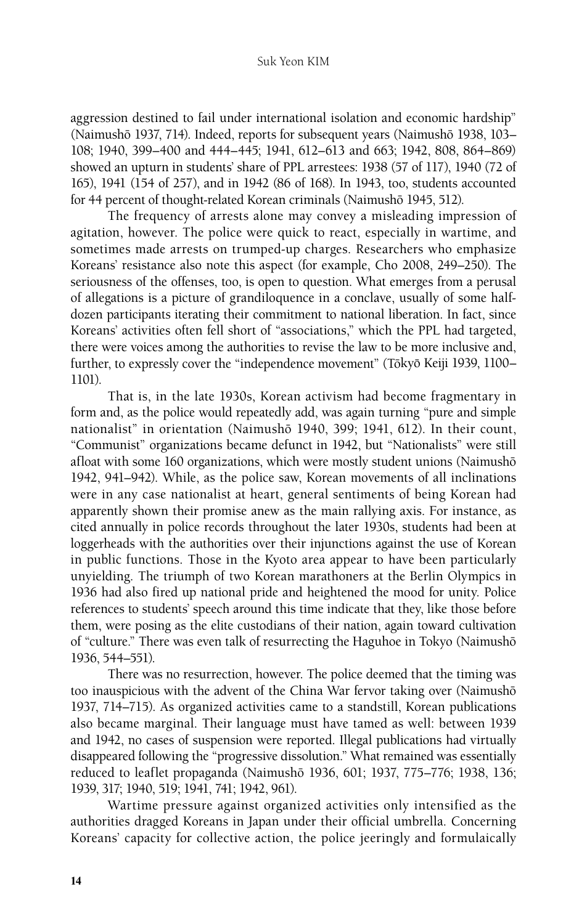aggression destined to fail under international isolation and economic hardship" (Naimushō 1937, 714). Indeed, reports for subsequent years (Naimushō 1938, 103– 108; 1940, 399–400 and 444–445; 1941, 612–613 and 663; 1942, 808, 864–869) showed an upturn in students' share of PPL arrestees: 1938 (57 of 117), 1940 (72 of 165), 1941 (154 of 257), and in 1942 (86 of 168). In 1943, too, students accounted for 44 percent of thought-related Korean criminals (Naimushō 1945, 512).

The frequency of arrests alone may convey a misleading impression of agitation, however. The police were quick to react, especially in wartime, and sometimes made arrests on trumped-up charges. Researchers who emphasize Koreans' resistance also note this aspect (for example, Cho 2008, 249–250). The seriousness of the offenses, too, is open to question. What emerges from a perusal of allegations is a picture of grandiloquence in a conclave, usually of some halfdozen participants iterating their commitment to national liberation. In fact, since Koreans' activities often fell short of "associations," which the PPL had targeted, there were voices among the authorities to revise the law to be more inclusive and, further, to expressly cover the "independence movement" (Tōkyō Keiji 1939, 1100– 1101).

That is, in the late 1930s, Korean activism had become fragmentary in form and, as the police would repeatedly add, was again turning "pure and simple nationalist" in orientation (Naimushō 1940, 399; 1941, 612). In their count, "Communist" organizations became defunct in 1942, but "Nationalists" were still afloat with some 160 organizations, which were mostly student unions (Naimushō 1942, 941–942). While, as the police saw, Korean movements of all inclinations were in any case nationalist at heart, general sentiments of being Korean had apparently shown their promise anew as the main rallying axis. For instance, as cited annually in police records throughout the later 1930s, students had been at loggerheads with the authorities over their injunctions against the use of Korean in public functions. Those in the Kyoto area appear to have been particularly unyielding. The triumph of two Korean marathoners at the Berlin Olympics in 1936 had also fired up national pride and heightened the mood for unity. Police references to students' speech around this time indicate that they, like those before them, were posing as the elite custodians of their nation, again toward cultivation of "culture." There was even talk of resurrecting the Haguhoe in Tokyo (Naimushō 1936, 544–551).

There was no resurrection, however. The police deemed that the timing was too inauspicious with the advent of the China War fervor taking over (Naimushō 1937, 714–715). As organized activities came to a standstill, Korean publications also became marginal. Their language must have tamed as well: between 1939 and 1942, no cases of suspension were reported. Illegal publications had virtually disappeared following the "progressive dissolution." What remained was essentially reduced to leaflet propaganda (Naimushō 1936, 601; 1937, 775–776; 1938, 136; 1939, 317; 1940, 519; 1941, 741; 1942, 961).

Wartime pressure against organized activities only intensified as the authorities dragged Koreans in Japan under their official umbrella. Concerning Koreans' capacity for collective action, the police jeeringly and formulaically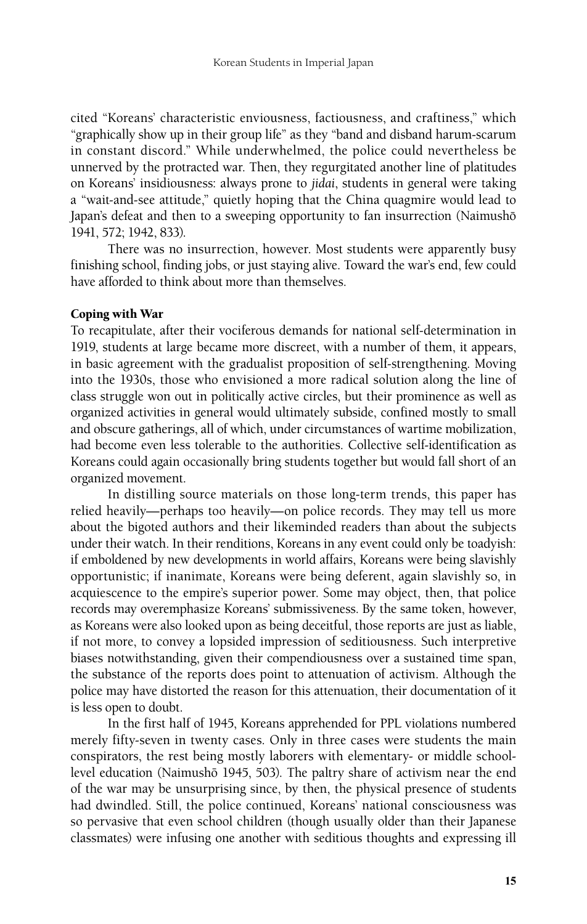cited "Koreans' characteristic enviousness, factiousness, and craftiness," which "graphically show up in their group life" as they "band and disband harum-scarum in constant discord." While underwhelmed, the police could nevertheless be unnerved by the protracted war. Then, they regurgitated another line of platitudes on Koreans' insidiousness: always prone to *jidai*, students in general were taking a "wait-and-see attitude," quietly hoping that the China quagmire would lead to Japan's defeat and then to a sweeping opportunity to fan insurrection (Naimushō 1941, 572; 1942, 833).

There was no insurrection, however. Most students were apparently busy finishing school, finding jobs, or just staying alive. Toward the war's end, few could have afforded to think about more than themselves.

#### Coping with War

To recapitulate, after their vociferous demands for national self-determination in 1919, students at large became more discreet, with a number of them, it appears, in basic agreement with the gradualist proposition of self-strengthening. Moving into the 1930s, those who envisioned a more radical solution along the line of class struggle won out in politically active circles, but their prominence as well as organized activities in general would ultimately subside, confined mostly to small and obscure gatherings, all of which, under circumstances of wartime mobilization, had become even less tolerable to the authorities. Collective self-identification as Koreans could again occasionally bring students together but would fall short of an organized movement.

In distilling source materials on those long-term trends, this paper has relied heavily—perhaps too heavily—on police records. They may tell us more about the bigoted authors and their likeminded readers than about the subjects under their watch. In their renditions, Koreans in any event could only be toadyish: if emboldened by new developments in world affairs, Koreans were being slavishly opportunistic; if inanimate, Koreans were being deferent, again slavishly so, in acquiescence to the empire's superior power. Some may object, then, that police records may overemphasize Koreans' submissiveness. By the same token, however, as Koreans were also looked upon as being deceitful, those reports are just as liable, if not more, to convey a lopsided impression of seditiousness. Such interpretive biases notwithstanding, given their compendiousness over a sustained time span, the substance of the reports does point to attenuation of activism. Although the police may have distorted the reason for this attenuation, their documentation of it is less open to doubt.

In the first half of 1945, Koreans apprehended for PPL violations numbered merely fifty-seven in twenty cases. Only in three cases were students the main conspirators, the rest being mostly laborers with elementary- or middle schoollevel education (Naimushō 1945, 503). The paltry share of activism near the end of the war may be unsurprising since, by then, the physical presence of students had dwindled. Still, the police continued, Koreans' national consciousness was so pervasive that even school children (though usually older than their Japanese classmates) were infusing one another with seditious thoughts and expressing ill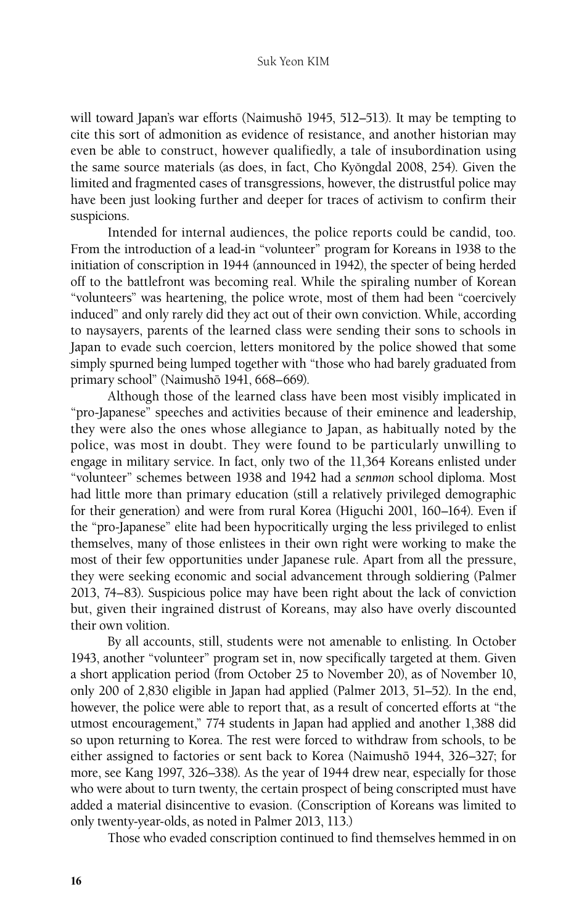will toward Japan's war efforts (Naimushō 1945, 512–513). It may be tempting to cite this sort of admonition as evidence of resistance, and another historian may even be able to construct, however qualifiedly, a tale of insubordination using the same source materials (as does, in fact, Cho Kyŏngdal 2008, 254). Given the limited and fragmented cases of transgressions, however, the distrustful police may have been just looking further and deeper for traces of activism to confirm their suspicions.

Intended for internal audiences, the police reports could be candid, too. From the introduction of a lead-in "volunteer" program for Koreans in 1938 to the initiation of conscription in 1944 (announced in 1942), the specter of being herded off to the battlefront was becoming real. While the spiraling number of Korean "volunteers" was heartening, the police wrote, most of them had been "coercively induced" and only rarely did they act out of their own conviction. While, according to naysayers, parents of the learned class were sending their sons to schools in Japan to evade such coercion, letters monitored by the police showed that some simply spurned being lumped together with "those who had barely graduated from primary school" (Naimushō 1941, 668–669).

Although those of the learned class have been most visibly implicated in "pro-Japanese" speeches and activities because of their eminence and leadership, they were also the ones whose allegiance to Japan, as habitually noted by the police, was most in doubt. They were found to be particularly unwilling to engage in military service. In fact, only two of the 11,364 Koreans enlisted under "volunteer" schemes between 1938 and 1942 had a *senmon* school diploma. Most had little more than primary education (still a relatively privileged demographic for their generation) and were from rural Korea (Higuchi 2001, 160–164). Even if the "pro-Japanese" elite had been hypocritically urging the less privileged to enlist themselves, many of those enlistees in their own right were working to make the most of their few opportunities under Japanese rule. Apart from all the pressure, they were seeking economic and social advancement through soldiering (Palmer 2013, 74–83). Suspicious police may have been right about the lack of conviction but, given their ingrained distrust of Koreans, may also have overly discounted their own volition.

By all accounts, still, students were not amenable to enlisting. In October 1943, another "volunteer" program set in, now specifically targeted at them. Given a short application period (from October 25 to November 20), as of November 10, only 200 of 2,830 eligible in Japan had applied (Palmer 2013, 51–52). In the end, however, the police were able to report that, as a result of concerted efforts at "the utmost encouragement," 774 students in Japan had applied and another 1,388 did so upon returning to Korea. The rest were forced to withdraw from schools, to be either assigned to factories or sent back to Korea (Naimushō 1944, 326-327; for more, see Kang 1997, 326–338). As the year of 1944 drew near, especially for those who were about to turn twenty, the certain prospect of being conscripted must have added a material disincentive to evasion. (Conscription of Koreans was limited to only twenty-year-olds, as noted in Palmer 2013, 113.)

Those who evaded conscription continued to find themselves hemmed in on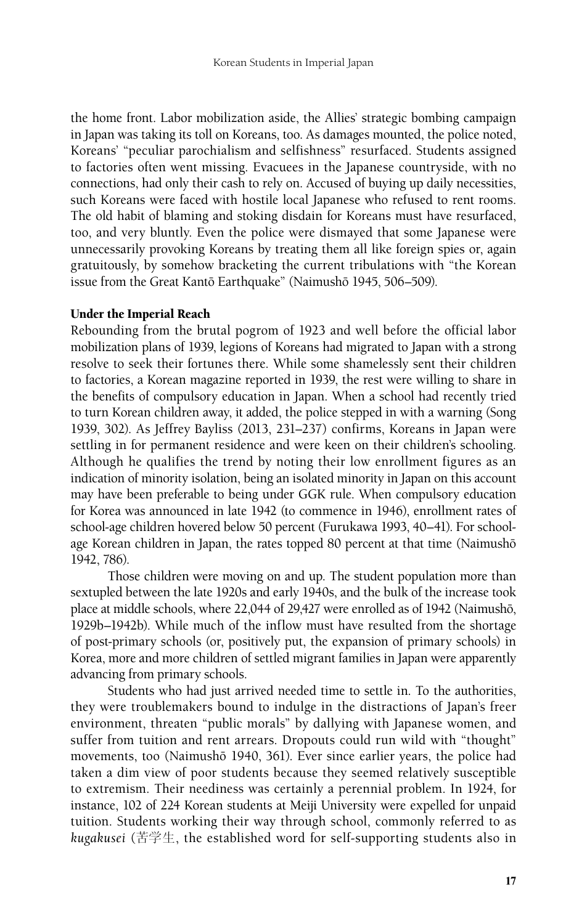the home front. Labor mobilization aside, the Allies' strategic bombing campaign in Japan was taking its toll on Koreans, too. As damages mounted, the police noted, Koreans' "peculiar parochialism and selfishness" resurfaced. Students assigned to factories often went missing. Evacuees in the Japanese countryside, with no connections, had only their cash to rely on. Accused of buying up daily necessities, such Koreans were faced with hostile local Japanese who refused to rent rooms. The old habit of blaming and stoking disdain for Koreans must have resurfaced, too, and very bluntly. Even the police were dismayed that some Japanese were unnecessarily provoking Koreans by treating them all like foreign spies or, again gratuitously, by somehow bracketing the current tribulations with "the Korean issue from the Great Kantō Earthquake" (Naimushō 1945, 506–509).

#### Under the Imperial Reach

Rebounding from the brutal pogrom of 1923 and well before the official labor mobilization plans of 1939, legions of Koreans had migrated to Japan with a strong resolve to seek their fortunes there. While some shamelessly sent their children to factories, a Korean magazine reported in 1939, the rest were willing to share in the benefits of compulsory education in Japan. When a school had recently tried to turn Korean children away, it added, the police stepped in with a warning (Song 1939, 302). As Jeffrey Bayliss (2013, 231–237) confirms, Koreans in Japan were settling in for permanent residence and were keen on their children's schooling. Although he qualifies the trend by noting their low enrollment figures as an indication of minority isolation, being an isolated minority in Japan on this account may have been preferable to being under GGK rule. When compulsory education for Korea was announced in late 1942 (to commence in 1946), enrollment rates of school-age children hovered below 50 percent (Furukawa 1993, 40–41). For schoolage Korean children in Japan, the rates topped 80 percent at that time (Naimushō 1942, 786).

Those children were moving on and up. The student population more than sextupled between the late 1920s and early 1940s, and the bulk of the increase took place at middle schools, where 22,044 of 29,427 were enrolled as of 1942 (Naimushō, 1929b–1942b). While much of the inflow must have resulted from the shortage of post-primary schools (or, positively put, the expansion of primary schools) in Korea, more and more children of settled migrant families in Japan were apparently advancing from primary schools.

Students who had just arrived needed time to settle in. To the authorities, they were troublemakers bound to indulge in the distractions of Japan's freer environment, threaten "public morals" by dallying with Japanese women, and suffer from tuition and rent arrears. Dropouts could run wild with "thought" movements, too (Naimushō 1940, 361). Ever since earlier years, the police had taken a dim view of poor students because they seemed relatively susceptible to extremism. Their neediness was certainly a perennial problem. In 1924, for instance, 102 of 224 Korean students at Meiji University were expelled for unpaid tuition. Students working their way through school, commonly referred to as *kugakusei* (苦学生, the established word for self-supporting students also in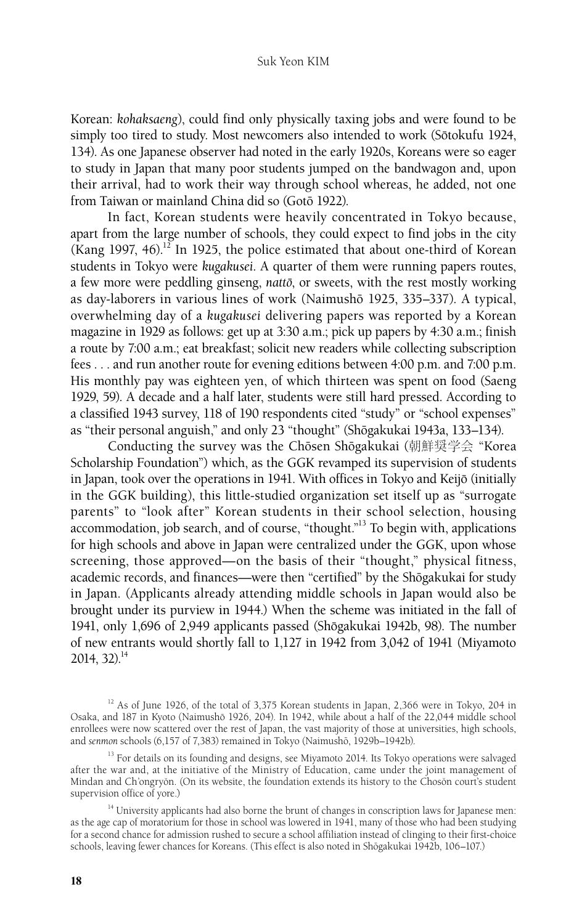#### Suk Yeon KIM

Korean: *kohaksaeng*), could find only physically taxing jobs and were found to be simply too tired to study. Most newcomers also intended to work (Sōtokufu 1924, 134). As one Japanese observer had noted in the early 1920s, Koreans were so eager to study in Japan that many poor students jumped on the bandwagon and, upon their arrival, had to work their way through school whereas, he added, not one from Taiwan or mainland China did so (Gotō 1922).

In fact, Korean students were heavily concentrated in Tokyo because, apart from the large number of schools, they could expect to find jobs in the city (Kang 1997, 46).<sup>12</sup> In 1925, the police estimated that about one-third of Korean students in Tokyo were *kugakusei*. A quarter of them were running papers routes, a few more were peddling ginseng, *natto*, or sweets, with the rest mostly working as day-laborers in various lines of work (Naimushō 1925, 335–337). A typical, overwhelming day of a *kugakusei* delivering papers was reported by a Korean magazine in 1929 as follows: get up at 3:30 a.m.; pick up papers by 4:30 a.m.; finish a route by 7:00 a.m.; eat breakfast; solicit new readers while collecting subscription fees . . . and run another route for evening editions between 4:00 p.m. and 7:00 p.m. His monthly pay was eighteen yen, of which thirteen was spent on food (Saeng 1929, 59). A decade and a half later, students were still hard pressed. According to a classified 1943 survey, 118 of 190 respondents cited "study" or "school expenses" as "their personal anguish," and only 23 "thought" (Shōgakukai 1943a, 133-134).

Conducting the survey was the Chōsen Shōgakukai (朝鮮奨学会 "Korea Scholarship Foundation") which, as the GGK revamped its supervision of students in Japan, took over the operations in 1941. With offices in Tokyo and Keijō (initially in the GGK building), this little-studied organization set itself up as "surrogate parents" to "look after" Korean students in their school selection, housing accommodation, job search, and of course, "thought."13 To begin with, applications for high schools and above in Japan were centralized under the GGK, upon whose screening, those approved—on the basis of their "thought," physical fitness, academic records, and finances—were then "certified" by the Shōgakukai for study in Japan. (Applicants already attending middle schools in Japan would also be brought under its purview in 1944.) When the scheme was initiated in the fall of 1941, only 1,696 of 2,949 applicants passed (Shōgakukai 1942b, 98). The number of new entrants would shortly fall to 1,127 in 1942 from 3,042 of 1941 (Miyamoto  $2014, 32$ <sup>14</sup>

<sup>&</sup>lt;sup>12</sup> As of June 1926, of the total of 3,375 Korean students in Japan, 2,366 were in Tokyo, 204 in Osaka, and 187 in Kyoto (Naimushō 1926, 204). In 1942, while about a half of the 22,044 middle school enrollees were now scattered over the rest of Japan, the vast majority of those at universities, high schools, and *senmon* schools (6,157 of 7,383) remained in Tokyo (Naimushō, 1929b–1942b).

<sup>&</sup>lt;sup>13</sup> For details on its founding and designs, see Miyamoto 2014. Its Tokyo operations were salvaged after the war and, at the initiative of the Ministry of Education, came under the joint management of Mindan and Ch'ongryŏn. (On its website, the foundation extends its history to the Chosŏn court's student supervision office of yore.)

<sup>&</sup>lt;sup>14</sup> University applicants had also borne the brunt of changes in conscription laws for Japanese men: as the age cap of moratorium for those in school was lowered in 1941, many of those who had been studying for a second chance for admission rushed to secure a school affiliation instead of clinging to their first-choice schools, leaving fewer chances for Koreans. (This effect is also noted in Shōgakukai 1942b, 106–107.)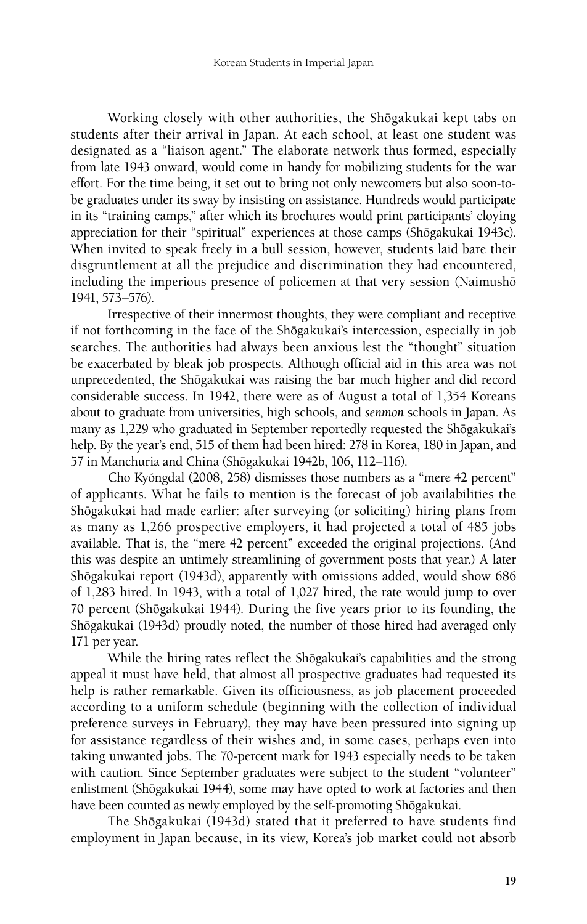Working closely with other authorities, the Shōgakukai kept tabs on students after their arrival in Japan. At each school, at least one student was designated as a "liaison agent." The elaborate network thus formed, especially from late 1943 onward, would come in handy for mobilizing students for the war effort. For the time being, it set out to bring not only newcomers but also soon-tobe graduates under its sway by insisting on assistance. Hundreds would participate in its "training camps," after which its brochures would print participants' cloying appreciation for their "spiritual" experiences at those camps (Shōgakukai 1943c). When invited to speak freely in a bull session, however, students laid bare their disgruntlement at all the prejudice and discrimination they had encountered, including the imperious presence of policemen at that very session (Naimushō 1941, 573–576).

Irrespective of their innermost thoughts, they were compliant and receptive if not forthcoming in the face of the Shōgakukai's intercession, especially in job searches. The authorities had always been anxious lest the "thought" situation be exacerbated by bleak job prospects. Although official aid in this area was not unprecedented, the Shōgakukai was raising the bar much higher and did record considerable success. In 1942, there were as of August a total of 1,354 Koreans about to graduate from universities, high schools, and *senmon* schools in Japan. As many as 1,229 who graduated in September reportedly requested the Shōgakukai's help. By the year's end, 515 of them had been hired: 278 in Korea, 180 in Japan, and 57 in Manchuria and China (Shōgakukai 1942b, 106, 112-116).

Cho Kyŏngdal (2008, 258) dismisses those numbers as a "mere 42 percent" of applicants. What he fails to mention is the forecast of job availabilities the Shōgakukai had made earlier: after surveying (or soliciting) hiring plans from as many as 1,266 prospective employers, it had projected a total of 485 jobs available. That is, the "mere 42 percent" exceeded the original projections. (And this was despite an untimely streamlining of government posts that year.) A later Shōgakukai report (1943d), apparently with omissions added, would show 686 of 1,283 hired. In 1943, with a total of 1,027 hired, the rate would jump to over 70 percent (Shōgakukai 1944). During the five years prior to its founding, the Shōgakukai (1943d) proudly noted, the number of those hired had averaged only 171 per year.

While the hiring rates reflect the Shōgakukai's capabilities and the strong appeal it must have held, that almost all prospective graduates had requested its help is rather remarkable. Given its officiousness, as job placement proceeded according to a uniform schedule (beginning with the collection of individual preference surveys in February), they may have been pressured into signing up for assistance regardless of their wishes and, in some cases, perhaps even into taking unwanted jobs. The 70-percent mark for 1943 especially needs to be taken with caution. Since September graduates were subject to the student "volunteer" enlistment (Shōgakukai 1944), some may have opted to work at factories and then have been counted as newly employed by the self-promoting Shōgakukai.

The Shōgakukai (1943d) stated that it preferred to have students find employment in Japan because, in its view, Korea's job market could not absorb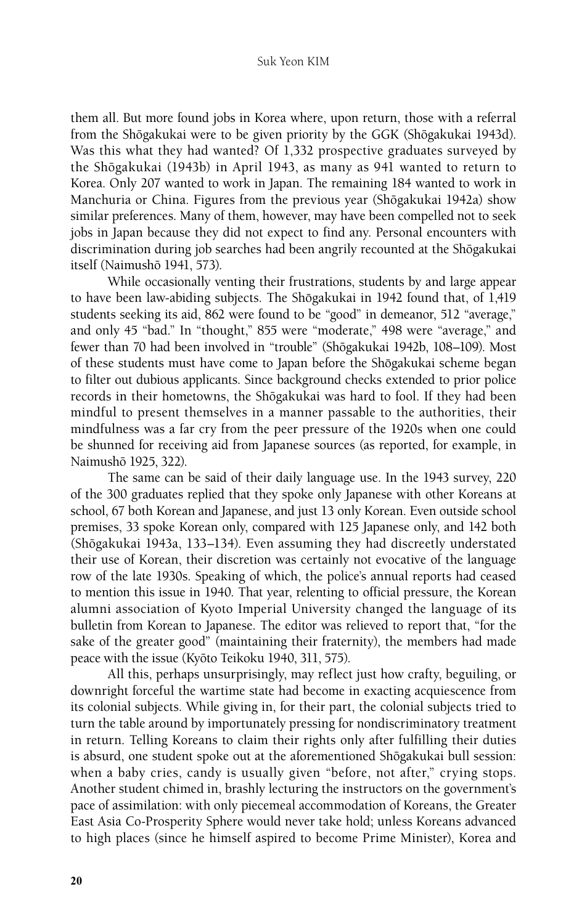#### Suk Yeon KIM

them all. But more found jobs in Korea where, upon return, those with a referral from the Shōgakukai were to be given priority by the GGK (Shōgakukai 1943d). Was this what they had wanted? Of 1,332 prospective graduates surveyed by the Shōgakukai (1943b) in April 1943, as many as 941 wanted to return to Korea. Only 207 wanted to work in Japan. The remaining 184 wanted to work in Manchuria or China. Figures from the previous year (Shōgakukai 1942a) show similar preferences. Many of them, however, may have been compelled not to seek jobs in Japan because they did not expect to find any. Personal encounters with discrimination during job searches had been angrily recounted at the Shōgakukai itself (Naimushō 1941, 573).

While occasionally venting their frustrations, students by and large appear to have been law-abiding subjects. The Shōgakukai in 1942 found that, of 1,419 students seeking its aid, 862 were found to be "good" in demeanor, 512 "average," and only 45 "bad." In "thought," 855 were "moderate," 498 were "average," and fewer than 70 had been involved in "trouble" (Shōgakukai 1942b, 108-109). Most of these students must have come to Japan before the Shōgakukai scheme began to filter out dubious applicants. Since background checks extended to prior police records in their hometowns, the Shōgakukai was hard to fool. If they had been mindful to present themselves in a manner passable to the authorities, their mindfulness was a far cry from the peer pressure of the 1920s when one could be shunned for receiving aid from Japanese sources (as reported, for example, in Naimushō 1925, 322).

The same can be said of their daily language use. In the 1943 survey, 220 of the 300 graduates replied that they spoke only Japanese with other Koreans at school, 67 both Korean and Japanese, and just 13 only Korean. Even outside school premises, 33 spoke Korean only, compared with 125 Japanese only, and 142 both (Shōgakukai 1943a, 133–134). Even assuming they had discreetly understated their use of Korean, their discretion was certainly not evocative of the language row of the late 1930s. Speaking of which, the police's annual reports had ceased to mention this issue in 1940. That year, relenting to official pressure, the Korean alumni association of Kyoto Imperial University changed the language of its bulletin from Korean to Japanese. The editor was relieved to report that, "for the sake of the greater good" (maintaining their fraternity), the members had made peace with the issue (Kyōto Teikoku 1940, 311, 575).

All this, perhaps unsurprisingly, may reflect just how crafty, beguiling, or downright forceful the wartime state had become in exacting acquiescence from its colonial subjects. While giving in, for their part, the colonial subjects tried to turn the table around by importunately pressing for nondiscriminatory treatment in return. Telling Koreans to claim their rights only after fulfilling their duties is absurd, one student spoke out at the aforementioned Shōgakukai bull session: when a baby cries, candy is usually given "before, not after," crying stops. Another student chimed in, brashly lecturing the instructors on the government's pace of assimilation: with only piecemeal accommodation of Koreans, the Greater East Asia Co-Prosperity Sphere would never take hold; unless Koreans advanced to high places (since he himself aspired to become Prime Minister), Korea and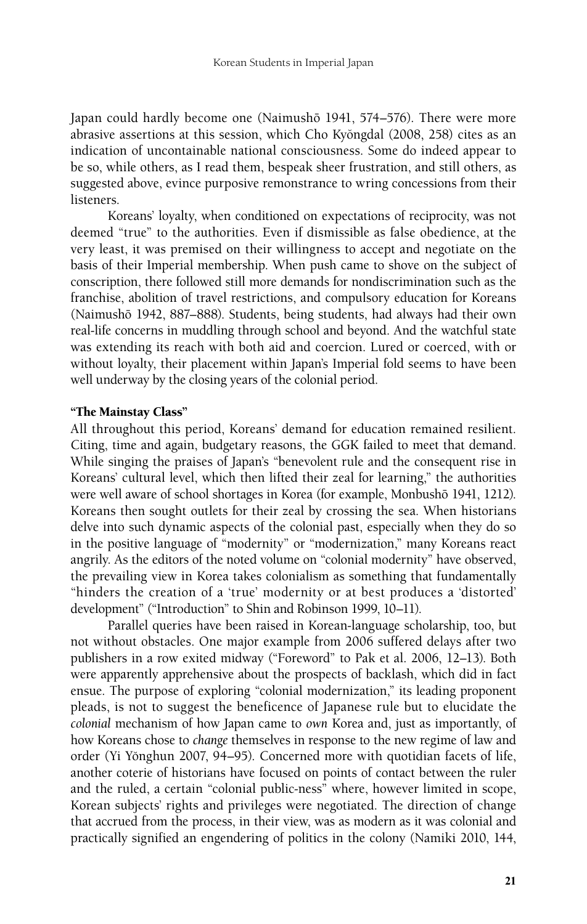Japan could hardly become one (Naimushō 1941, 574–576). There were more abrasive assertions at this session, which Cho Kyŏngdal (2008, 258) cites as an indication of uncontainable national consciousness. Some do indeed appear to be so, while others, as I read them, bespeak sheer frustration, and still others, as suggested above, evince purposive remonstrance to wring concessions from their listeners.

Koreans' loyalty, when conditioned on expectations of reciprocity, was not deemed "true" to the authorities. Even if dismissible as false obedience, at the very least, it was premised on their willingness to accept and negotiate on the basis of their Imperial membership. When push came to shove on the subject of conscription, there followed still more demands for nondiscrimination such as the franchise, abolition of travel restrictions, and compulsory education for Koreans (Naimushō 1942, 887–888). Students, being students, had always had their own real-life concerns in muddling through school and beyond. And the watchful state was extending its reach with both aid and coercion. Lured or coerced, with or without loyalty, their placement within Japan's Imperial fold seems to have been well underway by the closing years of the colonial period.

#### "The Mainstay Class"

All throughout this period, Koreans' demand for education remained resilient. Citing, time and again, budgetary reasons, the GGK failed to meet that demand. While singing the praises of Japan's "benevolent rule and the consequent rise in Koreans' cultural level, which then lifted their zeal for learning," the authorities were well aware of school shortages in Korea (for example, Monbushō 1941, 1212). Koreans then sought outlets for their zeal by crossing the sea. When historians delve into such dynamic aspects of the colonial past, especially when they do so in the positive language of "modernity" or "modernization," many Koreans react angrily. As the editors of the noted volume on "colonial modernity" have observed, the prevailing view in Korea takes colonialism as something that fundamentally "hinders the creation of a 'true' modernity or at best produces a 'distorted' development" ("Introduction" to Shin and Robinson 1999, 10–11).

Parallel queries have been raised in Korean-language scholarship, too, but not without obstacles. One major example from 2006 suffered delays after two publishers in a row exited midway ("Foreword" to Pak et al. 2006, 12–13). Both were apparently apprehensive about the prospects of backlash, which did in fact ensue. The purpose of exploring "colonial modernization," its leading proponent pleads, is not to suggest the beneficence of Japanese rule but to elucidate the *colonial* mechanism of how Japan came to *own* Korea and, just as importantly, of how Koreans chose to *change* themselves in response to the new regime of law and order (Yi Yŏnghun 2007, 94–95). Concerned more with quotidian facets of life, another coterie of historians have focused on points of contact between the ruler and the ruled, a certain "colonial public-ness" where, however limited in scope, Korean subjects' rights and privileges were negotiated. The direction of change that accrued from the process, in their view, was as modern as it was colonial and practically signified an engendering of politics in the colony (Namiki 2010, 144,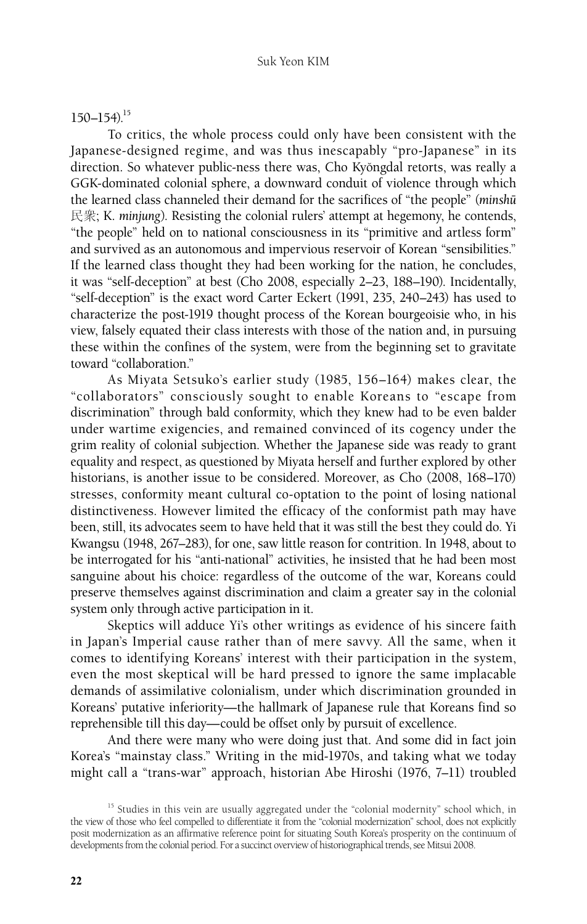## $150 - 154$ .<sup>15</sup>

To critics, the whole process could only have been consistent with the Japanese-designed regime, and was thus inescapably "pro-Japanese" in its direction. So whatever public-ness there was, Cho Kyŏngdal retorts, was really a GGK-dominated colonial sphere, a downward conduit of violence through which the learned class channeled their demand for the sacrifices of "the people" (*minshuˉ* 民衆; K. *minjung*). Resisting the colonial rulers' attempt at hegemony, he contends, "the people" held on to national consciousness in its "primitive and artless form" and survived as an autonomous and impervious reservoir of Korean "sensibilities." If the learned class thought they had been working for the nation, he concludes, it was "self-deception" at best (Cho 2008, especially 2–23, 188–190). Incidentally, "self-deception" is the exact word Carter Eckert (1991, 235, 240–243) has used to characterize the post-1919 thought process of the Korean bourgeoisie who, in his view, falsely equated their class interests with those of the nation and, in pursuing these within the confines of the system, were from the beginning set to gravitate toward "collaboration."

As Miyata Setsuko's earlier study (1985, 156–164) makes clear, the "collaborators" consciously sought to enable Koreans to "escape from discrimination" through bald conformity, which they knew had to be even balder under wartime exigencies, and remained convinced of its cogency under the grim reality of colonial subjection. Whether the Japanese side was ready to grant equality and respect, as questioned by Miyata herself and further explored by other historians, is another issue to be considered. Moreover, as Cho (2008, 168–170) stresses, conformity meant cultural co-optation to the point of losing national distinctiveness. However limited the efficacy of the conformist path may have been, still, its advocates seem to have held that it was still the best they could do. Yi Kwangsu (1948, 267–283), for one, saw little reason for contrition. In 1948, about to be interrogated for his "anti-national" activities, he insisted that he had been most sanguine about his choice: regardless of the outcome of the war, Koreans could preserve themselves against discrimination and claim a greater say in the colonial system only through active participation in it.

Skeptics will adduce Yi's other writings as evidence of his sincere faith in Japan's Imperial cause rather than of mere savvy. All the same, when it comes to identifying Koreans' interest with their participation in the system, even the most skeptical will be hard pressed to ignore the same implacable demands of assimilative colonialism, under which discrimination grounded in Koreans' putative inferiority—the hallmark of Japanese rule that Koreans find so reprehensible till this day—could be offset only by pursuit of excellence.

And there were many who were doing just that. And some did in fact join Korea's "mainstay class." Writing in the mid-1970s, and taking what we today might call a "trans-war" approach, historian Abe Hiroshi (1976, 7–11) troubled

<sup>&</sup>lt;sup>15</sup> Studies in this vein are usually aggregated under the "colonial modernity" school which, in the view of those who feel compelled to differentiate it from the "colonial modernization" school, does not explicitly posit modernization as an affirmative reference point for situating South Korea's prosperity on the continuum of developments from the colonial period. For a succinct overview of historiographical trends, see Mitsui 2008.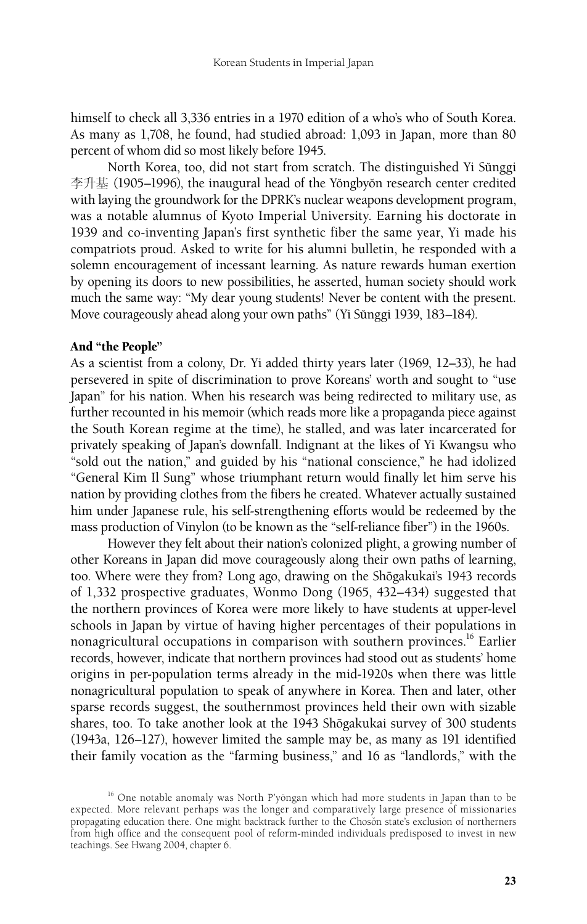himself to check all 3,336 entries in a 1970 edition of a who's who of South Korea. As many as 1,708, he found, had studied abroad: 1,093 in Japan, more than 80 percent of whom did so most likely before 1945.

North Korea, too, did not start from scratch. The distinguished Yi Sŭnggi 李升基 (1905–1996), the inaugural head of the Yŏngbyŏn research center credited with laying the groundwork for the DPRK's nuclear weapons development program, was a notable alumnus of Kyoto Imperial University. Earning his doctorate in 1939 and co-inventing Japan's first synthetic fiber the same year, Yi made his compatriots proud. Asked to write for his alumni bulletin, he responded with a solemn encouragement of incessant learning. As nature rewards human exertion by opening its doors to new possibilities, he asserted, human society should work much the same way: "My dear young students! Never be content with the present. Move courageously ahead along your own paths" (Yi Sŭnggi 1939, 183-184).

## And "the People"

As a scientist from a colony, Dr. Yi added thirty years later (1969, 12–33), he had persevered in spite of discrimination to prove Koreans' worth and sought to "use Japan" for his nation. When his research was being redirected to military use, as further recounted in his memoir (which reads more like a propaganda piece against the South Korean regime at the time), he stalled, and was later incarcerated for privately speaking of Japan's downfall. Indignant at the likes of Yi Kwangsu who "sold out the nation," and guided by his "national conscience," he had idolized "General Kim Il Sung" whose triumphant return would finally let him serve his nation by providing clothes from the fibers he created. Whatever actually sustained him under Japanese rule, his self-strengthening efforts would be redeemed by the mass production of Vinylon (to be known as the "self-reliance fiber") in the 1960s.

However they felt about their nation's colonized plight, a growing number of other Koreans in Japan did move courageously along their own paths of learning, too. Where were they from? Long ago, drawing on the Shōgakukai's 1943 records of 1,332 prospective graduates, Wonmo Dong (1965, 432–434) suggested that the northern provinces of Korea were more likely to have students at upper-level schools in Japan by virtue of having higher percentages of their populations in nonagricultural occupations in comparison with southern provinces.16 Earlier records, however, indicate that northern provinces had stood out as students' home origins in per-population terms already in the mid-1920s when there was little nonagricultural population to speak of anywhere in Korea. Then and later, other sparse records suggest, the southernmost provinces held their own with sizable shares, too. To take another look at the 1943 Shōgakukai survey of 300 students (1943a, 126–127), however limited the sample may be, as many as 191 identified their family vocation as the "farming business," and 16 as "landlords," with the

 $16$  One notable anomaly was North P'yŏngan which had more students in Japan than to be expected. More relevant perhaps was the longer and comparatively large presence of missionaries propagating education there. One might backtrack further to the Choson state's exclusion of northerners from high office and the consequent pool of reform-minded individuals predisposed to invest in new teachings. See Hwang 2004, chapter 6.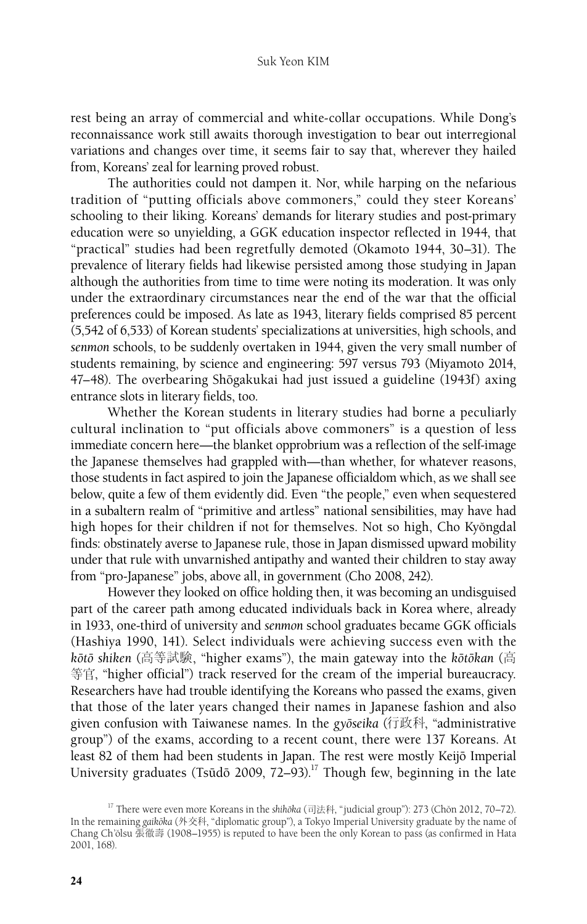rest being an array of commercial and white-collar occupations. While Dong's reconnaissance work still awaits thorough investigation to bear out interregional variations and changes over time, it seems fair to say that, wherever they hailed from, Koreans' zeal for learning proved robust.

The authorities could not dampen it. Nor, while harping on the nefarious tradition of "putting officials above commoners," could they steer Koreans' schooling to their liking. Koreans' demands for literary studies and post-primary education were so unyielding, a GGK education inspector reflected in 1944, that "practical" studies had been regretfully demoted (Okamoto 1944, 30–31). The prevalence of literary fields had likewise persisted among those studying in Japan although the authorities from time to time were noting its moderation. It was only under the extraordinary circumstances near the end of the war that the official preferences could be imposed. As late as 1943, literary fields comprised 85 percent (5,542 of 6,533) of Korean students' specializations at universities, high schools, and *senmon* schools, to be suddenly overtaken in 1944, given the very small number of students remaining, by science and engineering: 597 versus 793 (Miyamoto 2014, 47–48). The overbearing Shōgakukai had just issued a guideline (1943f) axing entrance slots in literary fields, too.

Whether the Korean students in literary studies had borne a peculiarly cultural inclination to "put officials above commoners" is a question of less immediate concern here—the blanket opprobrium was a reflection of the self-image the Japanese themselves had grappled with—than whether, for whatever reasons, those students in fact aspired to join the Japanese officialdom which, as we shall see below, quite a few of them evidently did. Even "the people," even when sequestered in a subaltern realm of "primitive and artless" national sensibilities, may have had high hopes for their children if not for themselves. Not so high, Cho Kyŏngdal finds: obstinately averse to Japanese rule, those in Japan dismissed upward mobility under that rule with unvarnished antipathy and wanted their children to stay away from "pro-Japanese" jobs, above all, in government (Cho 2008, 242).

However they looked on office holding then, it was becoming an undisguised part of the career path among educated individuals back in Korea where, already in 1933, one-third of university and *senmon* school graduates became GGK officials (Hashiya 1990, 141). Select individuals were achieving success even with the *koˉtoˉ shiken* (高等試験, "higher exams"), the main gateway into the *koˉtoˉkan* (高 等官, "higher official") track reserved for the cream of the imperial bureaucracy. Researchers have had trouble identifying the Koreans who passed the exams, given that those of the later years changed their names in Japanese fashion and also given confusion with Taiwanese names. In the *gyoˉseika* (行政科, "administrative group") of the exams, according to a recent count, there were 137 Koreans. At least 82 of them had been students in Japan. The rest were mostly Keijō Imperial University graduates (Tsūdō 2009,  $72-93$ ).<sup>17</sup> Though few, beginning in the late

<sup>&</sup>lt;sup>17</sup> There were even more Koreans in the *shihōka* (司法科, "judicial group"): 273 (Chŏn 2012, 70–72). In the remaining *gaikōka* (外交科, "diplomatic group"), a Tokyo Imperial University graduate by the name of Chang Ch'ŏlsu 張徹壽 (1908–1955) is reputed to have been the only Korean to pass (as confirmed in Hata 2001, 168).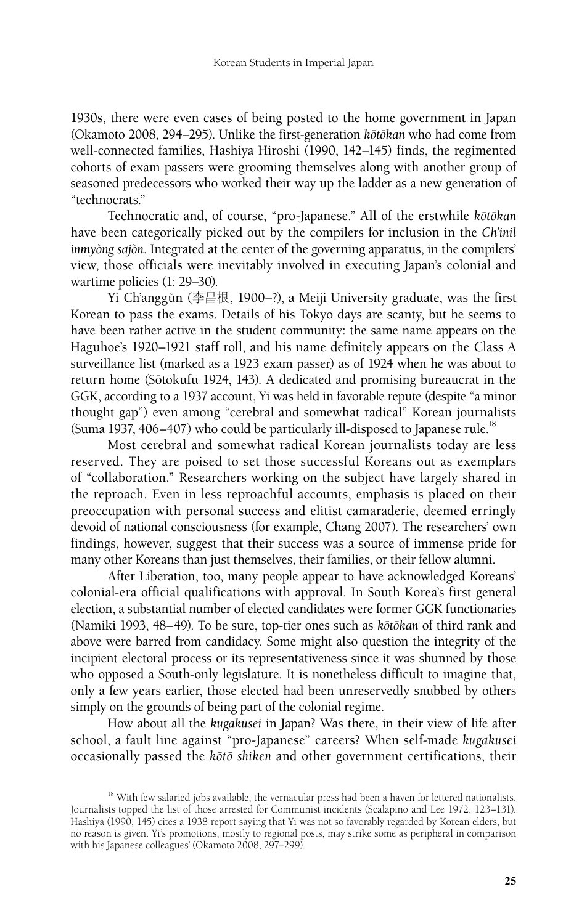1930s, there were even cases of being posted to the home government in Japan (Okamoto 2008, 294–295). Unlike the first-generation *koˉtoˉkan* who had come from well-connected families, Hashiya Hiroshi (1990, 142–145) finds, the regimented cohorts of exam passers were grooming themselves along with another group of seasoned predecessors who worked their way up the ladder as a new generation of "technocrats."

Technocratic and, of course, "pro-Japanese." All of the erstwhile *kōtōkan* have been categorically picked out by the compilers for inclusion in the *Ch'inil inmyong sajon.* Integrated at the center of the governing apparatus, in the compilers' view, those officials were inevitably involved in executing Japan's colonial and wartime policies (1: 29–30).

Yi Ch'anggŭn (李昌根, 1900–?), a Meiji University graduate, was the first Korean to pass the exams. Details of his Tokyo days are scanty, but he seems to have been rather active in the student community: the same name appears on the Haguhoe's 1920–1921 staff roll, and his name definitely appears on the Class A surveillance list (marked as a 1923 exam passer) as of 1924 when he was about to return home (Sōtokufu 1924, 143). A dedicated and promising bureaucrat in the GGK, according to a 1937 account, Yi was held in favorable repute (despite "a minor thought gap") even among "cerebral and somewhat radical" Korean journalists (Suma 1937, 406–407) who could be particularly ill-disposed to Japanese rule.<sup>18</sup>

Most cerebral and somewhat radical Korean journalists today are less reserved. They are poised to set those successful Koreans out as exemplars of "collaboration." Researchers working on the subject have largely shared in the reproach. Even in less reproachful accounts, emphasis is placed on their preoccupation with personal success and elitist camaraderie, deemed erringly devoid of national consciousness (for example, Chang 2007). The researchers' own findings, however, suggest that their success was a source of immense pride for many other Koreans than just themselves, their families, or their fellow alumni.

After Liberation, too, many people appear to have acknowledged Koreans' colonial-era official qualifications with approval. In South Korea's first general election, a substantial number of elected candidates were former GGK functionaries (Namiki 1993, 48–49). To be sure, top-tier ones such as *koˉtoˉkan* of third rank and above were barred from candidacy. Some might also question the integrity of the incipient electoral process or its representativeness since it was shunned by those who opposed a South-only legislature. It is nonetheless difficult to imagine that, only a few years earlier, those elected had been unreservedly snubbed by others simply on the grounds of being part of the colonial regime.

How about all the *kugakusei* in Japan? Was there, in their view of life after school, a fault line against "pro-Japanese" careers? When self-made *kugakusei*  occasionally passed the *koˉtoˉ shiken* and other government certifications, their

<sup>&</sup>lt;sup>18</sup> With few salaried jobs available, the vernacular press had been a haven for lettered nationalists. Journalists topped the list of those arrested for Communist incidents (Scalapino and Lee 1972, 123–131). Hashiya (1990, 145) cites a 1938 report saying that Yi was not so favorably regarded by Korean elders, but no reason is given. Yi's promotions, mostly to regional posts, may strike some as peripheral in comparison with his Japanese colleagues' (Okamoto 2008, 297–299).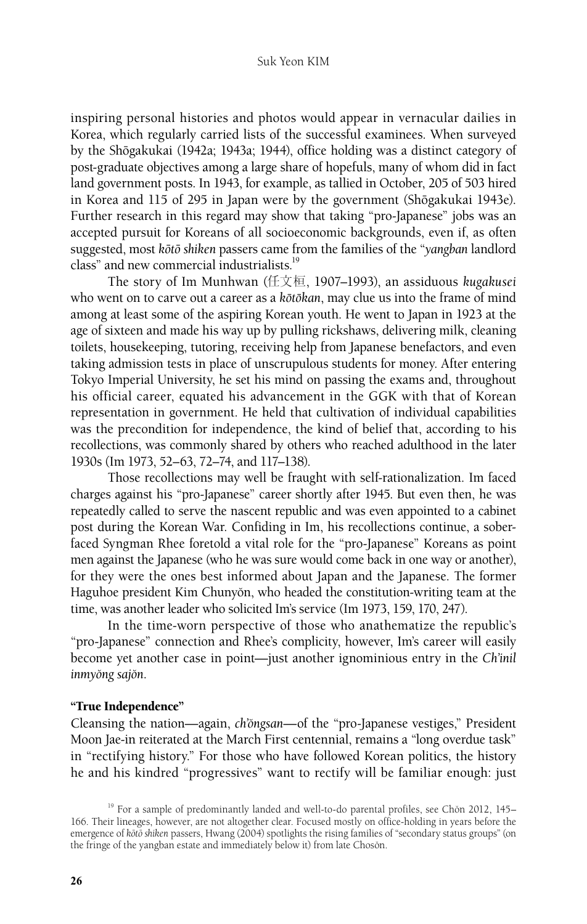#### Suk Yeon KIM

inspiring personal histories and photos would appear in vernacular dailies in Korea, which regularly carried lists of the successful examinees. When surveyed by the Shōgakukai (1942a; 1943a; 1944), office holding was a distinct category of post-graduate objectives among a large share of hopefuls, many of whom did in fact land government posts. In 1943, for example, as tallied in October, 205 of 503 hired in Korea and 115 of 295 in Japan were by the government (Shōgakukai 1943e). Further research in this regard may show that taking "pro-Japanese" jobs was an accepted pursuit for Koreans of all socioeconomic backgrounds, even if, as often suggested, most *koˉtoˉ shiken* passers came from the families of the "*yangban* landlord class" and new commercial industrialists.<sup>19</sup>

The story of Im Munhwan (任文桓, 1907–1993), an assiduous *kugakusei* who went on to carve out a career as a *k*ōtōkan, may clue us into the frame of mind among at least some of the aspiring Korean youth. He went to Japan in 1923 at the age of sixteen and made his way up by pulling rickshaws, delivering milk, cleaning toilets, housekeeping, tutoring, receiving help from Japanese benefactors, and even taking admission tests in place of unscrupulous students for money. After entering Tokyo Imperial University, he set his mind on passing the exams and, throughout his official career, equated his advancement in the GGK with that of Korean representation in government. He held that cultivation of individual capabilities was the precondition for independence, the kind of belief that, according to his recollections, was commonly shared by others who reached adulthood in the later 1930s (Im 1973, 52–63, 72–74, and 117–138).

Those recollections may well be fraught with self-rationalization. Im faced charges against his "pro-Japanese" career shortly after 1945. But even then, he was repeatedly called to serve the nascent republic and was even appointed to a cabinet post during the Korean War. Confiding in Im, his recollections continue, a soberfaced Syngman Rhee foretold a vital role for the "pro-Japanese" Koreans as point men against the Japanese (who he was sure would come back in one way or another), for they were the ones best informed about Japan and the Japanese. The former Haguhoe president Kim Chunyŏn, who headed the constitution-writing team at the time, was another leader who solicited Im's service (Im 1973, 159, 170, 247).

In the time-worn perspective of those who anathematize the republic's "pro-Japanese" connection and Rhee's complicity, however, Im's career will easily become yet another case in point—just another ignominious entry in the *Ch'inil inmyong sajon.* 

#### "True Independence"

Cleansing the nation—again, *ch'öngsan*—of the "pro-Japanese vestiges," President Moon Jae-in reiterated at the March First centennial, remains a "long overdue task" in "rectifying history." For those who have followed Korean politics, the history he and his kindred "progressives" want to rectify will be familiar enough: just

<sup>&</sup>lt;sup>19</sup> For a sample of predominantly landed and well-to-do parental profiles, see Chon 2012, 145– 166. Their lineages, however, are not altogether clear. Focused mostly on office-holding in years before the emergence of *koˉtoˉ shiken* passers, Hwang (2004) spotlights the rising families of "secondary status groups" (on the fringe of the yangban estate and immediately below it) from late Choson.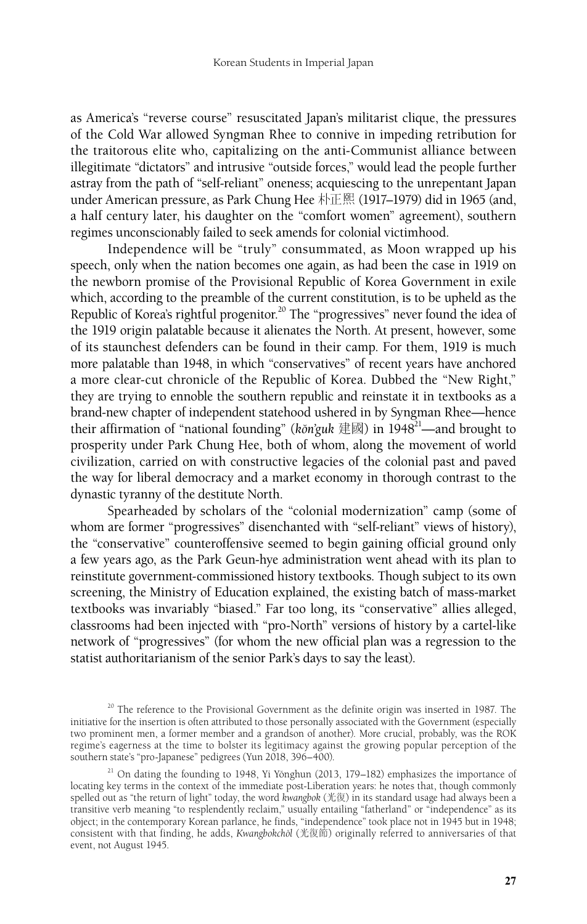as America's "reverse course" resuscitated Japan's militarist clique, the pressures of the Cold War allowed Syngman Rhee to connive in impeding retribution for the traitorous elite who, capitalizing on the anti-Communist alliance between illegitimate "dictators" and intrusive "outside forces," would lead the people further astray from the path of "self-reliant" oneness; acquiescing to the unrepentant Japan under American pressure, as Park Chung Hee 朴正熙 (1917–1979) did in 1965 (and, a half century later, his daughter on the "comfort women" agreement), southern regimes unconscionably failed to seek amends for colonial victimhood.

Independence will be "truly" consummated, as Moon wrapped up his speech, only when the nation becomes one again, as had been the case in 1919 on the newborn promise of the Provisional Republic of Korea Government in exile which, according to the preamble of the current constitution, is to be upheld as the Republic of Korea's rightful progenitor.<sup>20</sup> The "progressives" never found the idea of the 1919 origin palatable because it alienates the North. At present, however, some of its staunchest defenders can be found in their camp. For them, 1919 is much more palatable than 1948, in which "conservatives" of recent years have anchored a more clear-cut chronicle of the Republic of Korea. Dubbed the "New Right," they are trying to ennoble the southern republic and reinstate it in textbooks as a brand-new chapter of independent statehood ushered in by Syngman Rhee—hence their affirmation of "national founding" ( $k\breve{\sigma}$ n'guk  $\langle \frac{1}{2}|\mathbb{E}|\mathbb{E}|$ ) in 1948<sup>21</sup>—and brought to prosperity under Park Chung Hee, both of whom, along the movement of world civilization, carried on with constructive legacies of the colonial past and paved the way for liberal democracy and a market economy in thorough contrast to the dynastic tyranny of the destitute North.

Spearheaded by scholars of the "colonial modernization" camp (some of whom are former "progressives" disenchanted with "self-reliant" views of history), the "conservative" counteroffensive seemed to begin gaining official ground only a few years ago, as the Park Geun-hye administration went ahead with its plan to reinstitute government-commissioned history textbooks. Though subject to its own screening, the Ministry of Education explained, the existing batch of mass-market textbooks was invariably "biased." Far too long, its "conservative" allies alleged, classrooms had been injected with "pro-North" versions of history by a cartel-like network of "progressives" (for whom the new official plan was a regression to the statist authoritarianism of the senior Park's days to say the least).

 $20$  The reference to the Provisional Government as the definite origin was inserted in 1987. The initiative for the insertion is often attributed to those personally associated with the Government (especially two prominent men, a former member and a grandson of another). More crucial, probably, was the ROK regime's eagerness at the time to bolster its legitimacy against the growing popular perception of the southern state's "pro-Japanese" pedigrees (Yun 2018, 396–400).

 $21$  On dating the founding to 1948, Yi Yŏnghun (2013, 179–182) emphasizes the importance of locating key terms in the context of the immediate post-Liberation years: he notes that, though commonly spelled out as "the return of light" today, the word *kwangbok* (光復) in its standard usage had always been a transitive verb meaning "to resplendently reclaim," usually entailing "fatherland" or "independence" as its object; in the contemporary Korean parlance, he finds, "independence" took place not in 1945 but in 1948; consistent with that finding, he adds, *Kwangbokcho˘l* (光復節) originally referred to anniversaries of that event, not August 1945.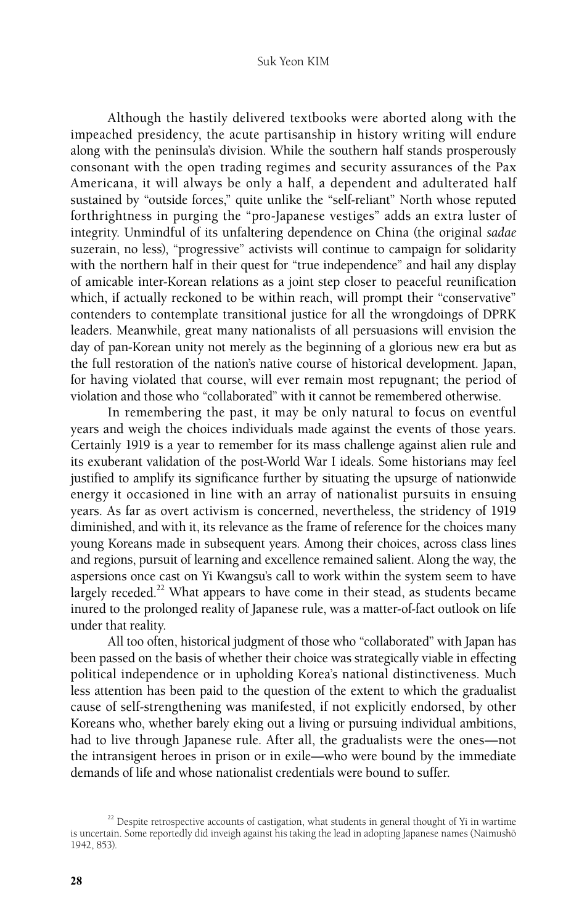#### Suk Yeon KIM

Although the hastily delivered textbooks were aborted along with the impeached presidency, the acute partisanship in history writing will endure along with the peninsula's division. While the southern half stands prosperously consonant with the open trading regimes and security assurances of the Pax Americana, it will always be only a half, a dependent and adulterated half sustained by "outside forces," quite unlike the "self-reliant" North whose reputed forthrightness in purging the "pro-Japanese vestiges" adds an extra luster of integrity. Unmindful of its unfaltering dependence on China (the original *sadae*  suzerain, no less), "progressive" activists will continue to campaign for solidarity with the northern half in their quest for "true independence" and hail any display of amicable inter-Korean relations as a joint step closer to peaceful reunification which, if actually reckoned to be within reach, will prompt their "conservative" contenders to contemplate transitional justice for all the wrongdoings of DPRK leaders. Meanwhile, great many nationalists of all persuasions will envision the day of pan-Korean unity not merely as the beginning of a glorious new era but as the full restoration of the nation's native course of historical development. Japan, for having violated that course, will ever remain most repugnant; the period of violation and those who "collaborated" with it cannot be remembered otherwise.

In remembering the past, it may be only natural to focus on eventful years and weigh the choices individuals made against the events of those years. Certainly 1919 is a year to remember for its mass challenge against alien rule and its exuberant validation of the post-World War I ideals. Some historians may feel justified to amplify its significance further by situating the upsurge of nationwide energy it occasioned in line with an array of nationalist pursuits in ensuing years. As far as overt activism is concerned, nevertheless, the stridency of 1919 diminished, and with it, its relevance as the frame of reference for the choices many young Koreans made in subsequent years. Among their choices, across class lines and regions, pursuit of learning and excellence remained salient. Along the way, the aspersions once cast on Yi Kwangsu's call to work within the system seem to have largely receded.<sup>22</sup> What appears to have come in their stead, as students became inured to the prolonged reality of Japanese rule, was a matter-of-fact outlook on life under that reality.

All too often, historical judgment of those who "collaborated" with Japan has been passed on the basis of whether their choice was strategically viable in effecting political independence or in upholding Korea's national distinctiveness. Much less attention has been paid to the question of the extent to which the gradualist cause of self-strengthening was manifested, if not explicitly endorsed, by other Koreans who, whether barely eking out a living or pursuing individual ambitions, had to live through Japanese rule. After all, the gradualists were the ones—not the intransigent heroes in prison or in exile—who were bound by the immediate demands of life and whose nationalist credentials were bound to suffer.

 $22$  Despite retrospective accounts of castigation, what students in general thought of Yi in wartime is uncertain. Some reportedly did inveigh against his taking the lead in adopting Japanese names (Naimushō 1942, 853).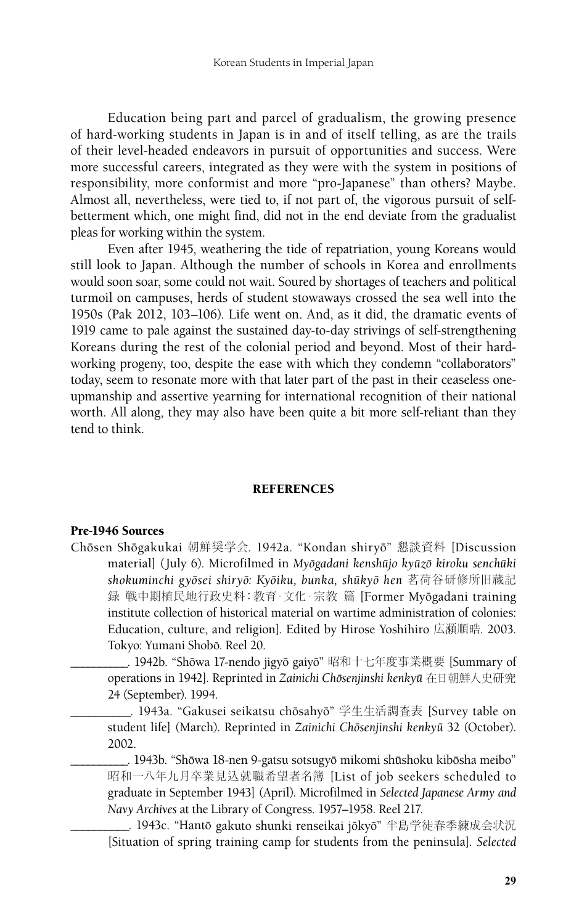Education being part and parcel of gradualism, the growing presence of hard-working students in Japan is in and of itself telling, as are the trails of their level-headed endeavors in pursuit of opportunities and success. Were more successful careers, integrated as they were with the system in positions of responsibility, more conformist and more "pro-Japanese" than others? Maybe. Almost all, nevertheless, were tied to, if not part of, the vigorous pursuit of selfbetterment which, one might find, did not in the end deviate from the gradualist pleas for working within the system.

Even after 1945, weathering the tide of repatriation, young Koreans would still look to Japan. Although the number of schools in Korea and enrollments would soon soar, some could not wait. Soured by shortages of teachers and political turmoil on campuses, herds of student stowaways crossed the sea well into the 1950s (Pak 2012, 103–106). Life went on. And, as it did, the dramatic events of 1919 came to pale against the sustained day-to-day strivings of self-strengthening Koreans during the rest of the colonial period and beyond. Most of their hardworking progeny, too, despite the ease with which they condemn "collaborators" today, seem to resonate more with that later part of the past in their ceaseless oneupmanship and assertive yearning for international recognition of their national worth. All along, they may also have been quite a bit more self-reliant than they tend to think.

### **REFERENCES**

#### Pre-1946 Sources

Chōsen Shōgakukai 朝鮮奨学会. 1942a. "Kondan shiryō" 懇談資料 [Discussion material] (July 6). Microfilmed in *Myoˉgadani kenshuˉjo kyuˉzoˉ kiroku senchuˉki shokuminchi gyoˉsei shiryoˉ: Kyoˉiku, bunka, shuˉkyoˉ hen* 茗荷谷研修所旧蔵記 録 戦中期植民地行政史料: 教育· 文化· 宗教 篇 [Former Myōgadani training institute collection of historical material on wartime administration of colonies: Education, culture, and religion]. Edited by Hirose Yoshihiro 広瀬順晧. 2003. Tokyo: Yumani Shobō. Reel 20.

\_\_\_\_\_\_\_\_\_\_. 1942b. "Shoˉwa 17-nendo jigyoˉ gaiyoˉ" 昭和十七年度事業概要 [Summary of operations in 1942]. Reprinted in *Zainichi Chōsenjinshi kenkyū* 在日朝鮮人史研究 24 (September). 1994.

\_\_\_\_\_. 1943a. "Gakusei seikatsu chōsahyō" 学生生活調査表 [Survey table on student life] (March). Reprinted in *Zainichi Chōsenjinshi kenkyū* 32 (October). 2002.

\_\_\_\_\_\_\_\_\_\_. 1943b. "Shoˉwa 18-nen 9-gatsu sotsugyoˉ mikomi shuˉshoku kiboˉsha meibo" 昭和一八年九月卒業見込就職希望者名簿 [List of job seekers scheduled to graduate in September 1943] (April). Microfilmed in *Selected Japanese Army and Navy Archives* at the Library of Congress. 1957–1958. Reel 217.

\_\_\_ 1943c. "Hantō gakuto shunki renseikai jōkyō" 半島学徒春季練成会状況 [Situation of spring training camp for students from the peninsula]. *Selected*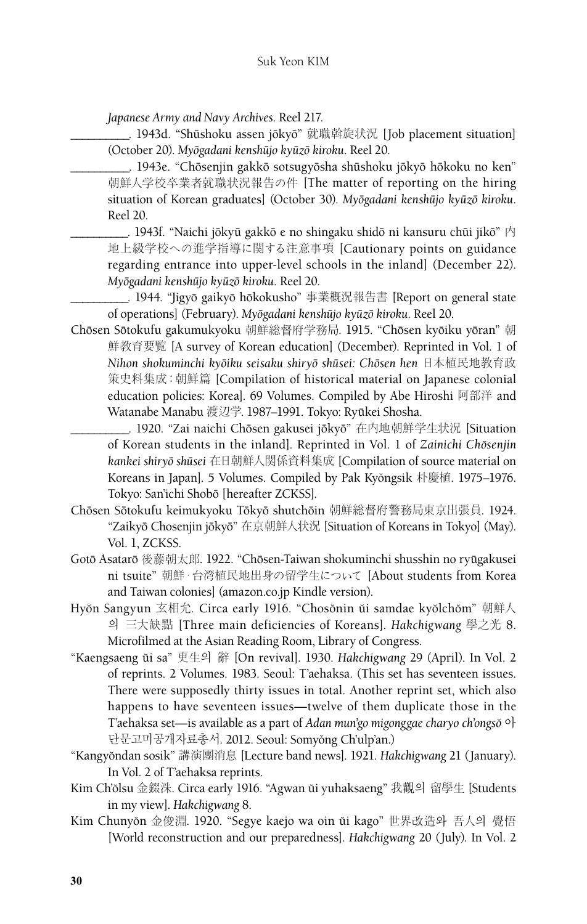*Japanese Army and Navy Archives*. Reel 217.

. 1943d. "Shūshoku assen jōkyō" 就職斡旋状況 [Job placement situation] (October 20). *Myoˉgadani kenshuˉjo kyuˉzoˉ kiroku*. Reel 20.

\_\_\_\_\_\_\_\_\_\_. 1943e. "Choˉsenjin gakkoˉ sotsugyoˉsha shuˉshoku joˉkyoˉ hoˉkoku no ken" 朝鮮人学校卒業者就職状況報告の件 [The matter of reporting on the hiring situation of Korean graduates] (October 30). *Myoˉgadani kenshuˉjo kyuˉzoˉ kiroku*. Reel 20.

\_\_. 1943f. "Naichi jōkyū gakkō e no shingaku shidō ni kansuru chūi jikō" 内 地上級学校への進学指導に関する注意事項 [Cautionary points on guidance regarding entrance into upper-level schools in the inland] (December 22). *Myoˉgadani kenshuˉjo kyuˉzoˉ kiroku*. Reel 20.

\_\_\_\_\_\_\_\_\_\_. 1944. "Jigyoˉ gaikyoˉ hoˉkokusho" 事業概況報告書 [Report on general state of operations] (February). *Myoˉgadani kenshuˉjo kyuˉzoˉ kiroku*. Reel 20.

Chōsen Sōtokufu gakumukyoku 朝鮮総督府学務局. 1915. "Chōsen kyōiku yōran" 朝 鮮教育要覧 [A survey of Korean education] (December). Reprinted in Vol. 1 of *Nihon shokuminchi kyoˉiku seisaku shiryoˉ shuˉsei: Choˉsen hen* 日本植民地教育政 策史料集成:朝鮮篇 [Compilation of historical material on Japanese colonial education policies: Korea]. 69 Volumes. Compiled by Abe Hiroshi 阿部洋 and Watanabe Manabu 渡辺学. 1987–1991. Tokyo: Ryūkei Shosha.

\_\_\_\_\_\_\_\_\_\_. 1920. "Zai naichi Choˉsen gakusei joˉkyoˉ" 在内地朝鮮学生状況 [Situation of Korean students in the inland]. Reprinted in Vol. 1 of Zainichi Chōsenjin *kankei shiryoˉ shuˉsei* 在日朝鮮人関係資料集成 [Compilation of source material on Koreans in Japan]. 5 Volumes. Compiled by Pak Kyŏngsik 朴慶植. 1975–1976. Tokyo: San'ichi Shoboˉ [hereafter ZCKSS].

- Chōsen Sōtokufu keimukyoku Tōkyō shutchōin 朝鮮総督府警務局東京出張員. 1924. "Zaikyō Chosenjin jōkyō" 在京朝鮮人状況 [Situation of Koreans in Tokyo] (May). Vol. 1, ZCKSS.
- Gotō Asatarō 後藤朝太郎. 1922. "Chōsen-Taiwan shokuminchi shusshin no ryūgakusei ni tsuite" 朝鮮・台湾植民地出身の留学生について [About students from Korea and Taiwan colonies] (amazon.co.jp Kindle version).
- Hyŏn Sangyun 玄相允. Circa early 1916. "Chosŏnin ŭi samdae kyŏlchŏm" 朝鮮人 의 三大缺點 [Three main deficiencies of Koreans]. *Hakchigwang* 學之光 8. Microfilmed at the Asian Reading Room, Library of Congress.
- "Kaengsaeng ŭi sa" 更生의 辭 [On revival]. 1930. *Hakchigwang* 29 (April). In Vol. 2 of reprints. 2 Volumes. 1983. Seoul: T'aehaksa. (This set has seventeen issues. There were supposedly thirty issues in total. Another reprint set, which also happens to have seventeen issues—twelve of them duplicate those in the T'aehaksa set—is available as a part of *Adan mun'go migonggae charyo ch'ongso* <sup>o</sup>} 단문고미공개자료총서. 2012. Seoul: Somyŏng Ch'ulp'an.)
- "Kangyŏndan sosik" 講演團消息 [Lecture band news]. 1921. *Hakchigwang* 21 (January). In Vol. 2 of T'aehaksa reprints.
- Kim Ch'ŏlsu 金錣洙. Circa early 1916. "Agwan ŭi yuhaksaeng" 我觀의 留學生 [Students in my view]. *Hakchigwang* 8.
- Kim Chunyŏn 金俊淵. 1920. "Segye kaejo wa oin ŭi kago" 世界改造와 吾人의 覺悟 [World reconstruction and our preparedness]. *Hakchigwang* 20 (July). In Vol. 2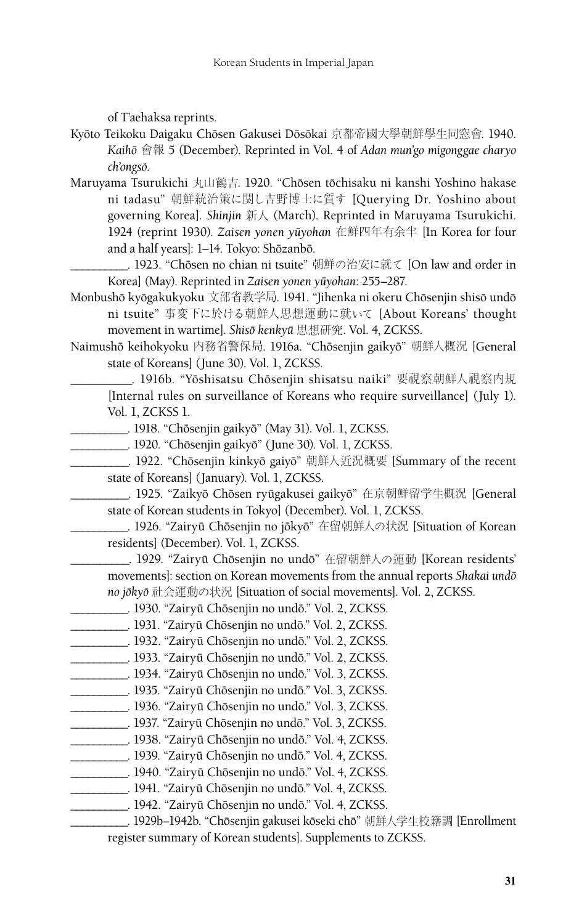of T'aehaksa reprints.

- Kyōto Teikoku Daigaku Chōsen Gakusei Dōsōkai 京都帝國大學朝鮮學生同窓會. 1940. *Kaihoˉ* 會報 5 (December). Reprinted in Vol. 4 of *Adan mun'go migonggae charyo ch'ongso˘*.
- Maruyama Tsurukichi 丸山鶴吉. 1920. "Chōsen tōchisaku ni kanshi Yoshino hakase ni tadasu" 朝鮮統治策に関し吉野博士に質す [Querying Dr. Yoshino about governing Korea]. *Shinjin* 新人 (March). Reprinted in Maruyama Tsurukichi. 1924 (reprint 1930). *Zaisen yonen yuˉyohan* 在鮮四年有余半 [In Korea for four and a half years]: 1-14. Tokyo: Shōzanbō.

\_\_\_. 1923. "Chōsen no chian ni tsuite" 朝鮮の治安に就て [On law and order in Korea] (May). Reprinted in *Zaisen yonen yūyohan*: 255–287.

- Monbushō kyōgakukyoku 文部省教学局. 1941. "Jihenka ni okeru Chōsenjin shisō undō ni tsuite" 事変下に於ける朝鮮人思想運動に就いて [About Koreans' thought movement in wartime]. *Shisoˉ kenkyuˉ* 思想研究. Vol. 4, ZCKSS.
- Naimushō keihokyoku 内務省警保局. 1916a. "Chōsenjin gaikyō" 朝鮮人概況 [General state of Koreans] (June 30). Vol. 1, ZCKSS.
	- \_\_\_\_\_\_\_\_. 1916b. "Yōshisatsu Chōsenjin shisatsu naiki" 要視察朝鮮人視察内規 [Internal rules on surveillance of Koreans who require surveillance] (July 1). Vol. 1, ZCKSS 1.
	- \_\_\_\_\_\_\_\_\_\_. 1918. "Choˉsenjin gaikyoˉ" (May 31). Vol. 1, ZCKSS.
	- \_\_\_\_\_\_\_. 1920. "Chōsenjin gaikyō" (June 30). Vol. 1, ZCKSS.

**\_\_\_\_\_\_\_\_\_\_\_\_\_\_.** 1922. "Chōsenjin kinkyō gaiyō" 朝鮮人近況概要 [Summary of the recent state of Koreans] (January). Vol. 1, ZCKSS.

\_\_\_\_\_\_\_\_\_\_. 1925. "Zaikyoˉ Choˉsen ryuˉgakusei gaikyoˉ" 在京朝鮮留学生概況 [General state of Korean students in Tokyo] (December). Vol. 1, ZCKSS.

\_\_\_\_\_\_\_\_. 1926. "Zairyū Chōsenjin no jōkyō" 在留朝鮮人の状況 [Situation of Korean] residents] (December). Vol. 1, ZCKSS.

\_\_\_\_\_\_\_\_\_\_. 1929. "Zairyuˉ Choˉsenjin no undoˉ" 在留朝鮮人の運動 [Korean residents' movements]: section on Korean movements from the annual reports *Shakai undō no joˉkyoˉ* 社会運動の状況 [Situation of social movements]. Vol. 2, ZCKSS.

- \_\_\_\_\_\_\_\_\_\_. 1930. "Zairyuˉ Choˉsenjin no undoˉ." Vol. 2, ZCKSS.
- \_\_\_\_\_\_\_\_\_\_. 1931. "Zairyuˉ Choˉsenjin no undoˉ." Vol. 2, ZCKSS.
- \_\_\_\_\_\_\_\_\_\_. 1932. "Zairyuˉ Choˉsenjin no undoˉ." Vol. 2, ZCKSS.
- \_\_\_\_\_\_\_\_\_\_. 1933. "Zairyuˉ Choˉsenjin no undoˉ." Vol. 2, ZCKSS.
- \_\_\_\_\_\_\_\_\_\_. 1934. "Zairyuˉ Choˉsenjin no undoˉ." Vol. 3, ZCKSS.
- \_\_\_\_\_\_\_\_\_\_\_. 1935. "Zairyū Chōsenjin no undō." Vol. 3, ZCKSS.
- \_\_\_\_\_\_\_\_\_\_. 1936. "Zairyuˉ Choˉsenjin no undoˉ." Vol. 3, ZCKSS.
- \_\_\_\_\_\_\_\_\_\_. 1937. "Zairyuˉ Choˉsenjin no undoˉ." Vol. 3, ZCKSS.
- \_\_\_\_\_\_\_\_\_\_. 1938. "Zairyuˉ Choˉsenjin no undoˉ." Vol. 4, ZCKSS.
- \_\_\_\_\_\_\_\_\_\_. 1939. "Zairyuˉ Choˉsenjin no undoˉ." Vol. 4, ZCKSS.
- \_\_\_\_\_\_\_\_\_\_. 1940. "Zairyuˉ Choˉsenjin no undoˉ." Vol. 4, ZCKSS.
- \_\_\_\_\_\_\_\_\_\_. 1941. "Zairyuˉ Choˉsenjin no undoˉ." Vol. 4, ZCKSS.
- \_\_\_\_\_\_\_\_\_\_. 1942. "Zairyuˉ Choˉsenjin no undoˉ." Vol. 4, ZCKSS.

\_\_\_\_\_\_\_. 1929b–1942b. "Chōsenjin gakusei kōseki chō" 朝鮮人学生校籍調 [Enrollment register summary of Korean students]. Supplements to ZCKSS.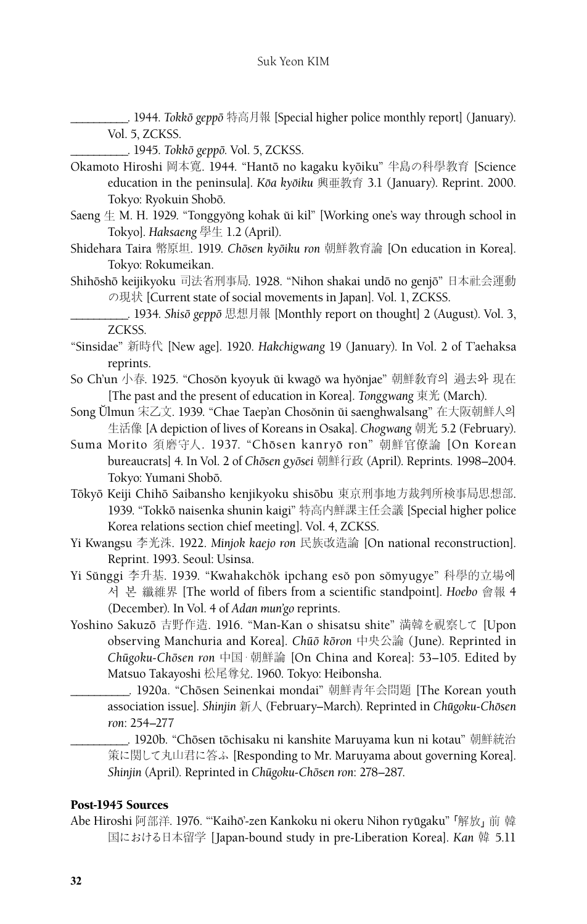\_\_\_\_\_\_\_\_\_\_. 1944. *Tokkoˉ geppoˉ* 特高月報 [Special higher police monthly report] (January). Vol. 5, ZCKSS.

\_\_\_\_\_\_\_\_\_\_. 1945. *Tokkoˉ geppoˉ.* Vol. 5, ZCKSS.

- Okamoto Hiroshi 岡本寛. 1944. "Hantō no kagaku kyōiku" 半島の科學教育 [Science education in the peninsula]. *Kōa kyōiku* 興亜教育 3.1 (January). Reprint. 2000. Tokyo: Ryokuin Shoboˉ.
- Saeng  $\pm$  M. H. 1929. "Tonggyŏng kohak ŭi kil" [Working one's way through school in Tokyo]. *Haksaeng* 學生 1.2 (April).
- Shidehara Taira 幣原坦. 1919. *Chōsen kyōiku ron* 朝鮮教育論 [On education in Korea]. Tokyo: Rokumeikan.
- Shihōshō keijikyoku 司法省刑事局. 1928. "Nihon shakai undō no genjō"日本社会運動 の現状 [Current state of social movements in Japan]. Vol. 1, ZCKSS.
	- \_\_\_\_\_\_\_\_\_\_. 1934. *Shisoˉ geppoˉ* 思想月報 [Monthly report on thought] 2 (August). Vol. 3, ZCKSS.
- "Sinsidae" 新時代 [New age]. 1920. *Hakchigwang* 19 (January). In Vol. 2 of T'aehaksa reprints.
- So Ch'un 小春. 1925. "Chosŏn kyoyuk ŭi kwagŏ wa hyŏnjae" 朝鮮敎育의 過去와 現在 [The past and the present of education in Korea]. *Tonggwang* 東光 (March).
- Song Ŭlmun 宋乙文. 1939. "Chae Taep'an Chosŏnin ŭi saenghwalsang" 在大阪朝鮮人의 生活像 [A depiction of lives of Koreans in Osaka]. *Chogwang* 朝光 5.2 (February).
- Suma Morito 須磨守人. 1937. "Chōsen kanryō ron" 朝鮮官僚論 [On Korean bureaucrats] 4. In Vol. 2 of *Choˉsen gyoˉsei* 朝鮮行政 (April). Reprints. 1998–2004. Tokyo: Yumani Shobō.
- Tōkyō Keiji Chihō Saibansho kenjikyoku shisōbu 東京刑事地方裁判所検事局思想部. 1939. "Tokkō naisenka shunin kaigi" 特高内鮮課主任会議 [Special higher police Korea relations section chief meeting]. Vol. 4, ZCKSS.
- Yi Kwangsu 李光洙. 1922. *Minjok kaejo ron* 民族改造論 [On national reconstruction]. Reprint. 1993. Seoul: Usinsa.
- Yi Sŭnggi 李升基. 1939. "Kwahakchŏk ipchang esŏ pon sŏmyugye" 科學的立場에 서 본 纖維界 [The world of fibers from a scientific standpoint]. *Hoebo* 會報 4 (December). In Vol. 4 of *Adan mun'go* reprints.
- Yoshino Sakuzoˉ 吉野作造. 1916. "Man-Kan o shisatsu shite" 満韓を視察して [Upon observing Manchuria and Korea]. *Chuoˉˉ koˉron* 中央公論 (June). Reprinted in *Chuˉgoku-Choˉsen ron* 中国・朝鮮論 [On China and Korea]: 53–105. Edited by Matsuo Takayoshi 松尾尊兌. 1960. Tokyo: Heibonsha.
	- \_\_\_\_. 1920a. "Chōsen Seinenkai mondai" 朝鮮青年会問題 [The Korean youth association issue]. *Shinjin* 新人 (February–March). Reprinted in *Chuˉgoku-Choˉsen ron*: 254–277
		- \_. 1920b. "Chōsen tōchisaku ni kanshite Maruyama kun ni kotau" 朝鮮統治 策に関して丸山君に答ふ [Responding to Mr. Maruyama about governing Korea]. *Shinjin* (April). Reprinted in *Chuˉgoku-Choˉsen ron*: 278–287.

## Post-1945 Sources

Abe Hiroshi 阿部洋. 1976. "'Kaihō'-zen Kankoku ni okeru Nihon ryūgaku" 「解放」 前韓 国における日本留学 [Japan-bound study in pre-Liberation Korea]. *Kan* 韓 5.11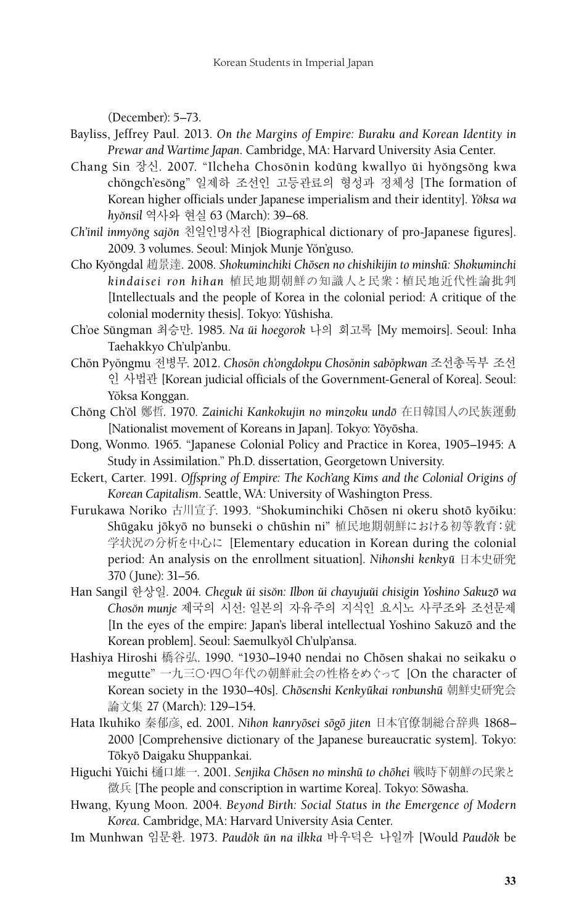(December): 5–73.

- Bayliss, Jeffrey Paul. 2013. *On the Margins of Empire: Buraku and Korean Identity in Prewar and Wartime Japan*. Cambridge, MA: Harvard University Asia Center.
- Chang Sin 장신. 2007. "Ilcheha Chosŏnin kodŭng kwallyo ŭi hyŏngsŏng kwa chŏngch'esŏng" 일제하 조선인 고등관료의 형성과 정체성 [The formation of Korean higher officials under Japanese imperialism and their identity]. *Yo˘ksa wa hyo˘nsil* 역사와 현실 63 (March): 39–68.
- *Ch'inil inmyo˘ng sajo˘n* 친일인명사전 [Biographical dictionary of pro-Japanese figures]. 2009. 3 volumes. Seoul: Minjok Munje Yŏn'guso.
- Cho Kyo˘ngdal 趙景達. 2008. *Shokuminchiki Choˉsen no chishikijin to minshuˉ: Shokuminchi kindaisei ron hihan* 植民地期朝鮮の知識人と民衆:植民地近代性論批判 [Intellectuals and the people of Korea in the colonial period: A critique of the colonial modernity thesis]. Tokyo: Yūshisha.
- Ch'oe Su˘ngman 최승만. 1985. *Na u˘i hoegorok* 나의 회고록 [My memoirs]. Seoul: Inha Taehakkyo Ch'ulp'anbu.
- Cho˘n Pyo˘ngmu 전병무. 2012. *Choso˘n ch'ongdokpu Choso˘nin sabo˘pkwan* 조선총독부 조선 인 사법관 [Korean judicial officials of the Government-General of Korea]. Seoul: Yŏksa Konggan.
- Cho˘ng Ch'o˘l 鄭哲. 1970. *Zainichi Kankokujin no minzoku undoˉ* 在日韓国人の民族運動 [Nationalist movement of Koreans in Japan]. Tokyo: Yōyōsha.
- Dong, Wonmo. 1965. "Japanese Colonial Policy and Practice in Korea, 1905–1945: A Study in Assimilation." Ph.D. dissertation, Georgetown University.
- Eckert, Carter. 1991. *Offspring of Empire: The Koch'ang Kims and the Colonial Origins of Korean Capitalism*. Seattle, WA: University of Washington Press.
- Furukawa Noriko 古川宣子. 1993. "Shokuminchiki Chōsen ni okeru shotō kyōiku: Shūgaku jōkyō no bunseki o chūshin ni" 植民地期朝鮮における初等教育:就 学状況の分析を中心に [Elementary education in Korean during the colonial period: An analysis on the enrollment situation]. *Nihonshi kenkyuˉ* 日本史研究 370 (June): 31–56.
- Han Sangil 한상일. 2004. *Cheguk ŭi sisŏn: Ilbon ŭi chayujuŭi chisigin Yoshino Sakuzō wa Choso˘n munje* 제국의 시선: 일본의 자유주의 지식인 요시노 사쿠조와 조선문제 [In the eyes of the empire: Japan's liberal intellectual Yoshino Sakuzō and the Korean problem]. Seoul: Saemulkyŏl Ch'ulp'ansa.
- Hashiya Hiroshi 橋谷弘. 1990. "1930–1940 nendai no Chōsen shakai no seikaku o megutte" 一九三〇·四〇年代の朝鮮社会の性格をめぐって [On the character of Korean society in the 1930–40s]. *Chōsenshi Kenkyūkai ronbunshū* 朝鮮史研究会 論文集 27 (March): 129–154.
- Hata Ikuhiko 秦郁彦, ed. 2001. *Nihon kanryōsei sōgō jiten* 日本官僚制総合辞典 1868– 2000 [Comprehensive dictionary of the Japanese bureaucratic system]. Tokyo: Tōkyō Daigaku Shuppankai.
- Higuchi Yūichi 樋口雄一. 2001. Senjika Chōsen no minshū to chōhei 戦時下朝鮮の民衆と 徵兵 [The people and conscription in wartime Korea]. Tokyo: Sōwasha.
- Hwang, Kyung Moon. 2004. *Beyond Birth: Social Status in the Emergence of Modern Korea*. Cambridge, MA: Harvard University Asia Center.
- Im Munhwan 임문환. 1973. *Paudo˘k u˘n na ilkka* 바우덕은 나일까 [Would *Paudo˘k* be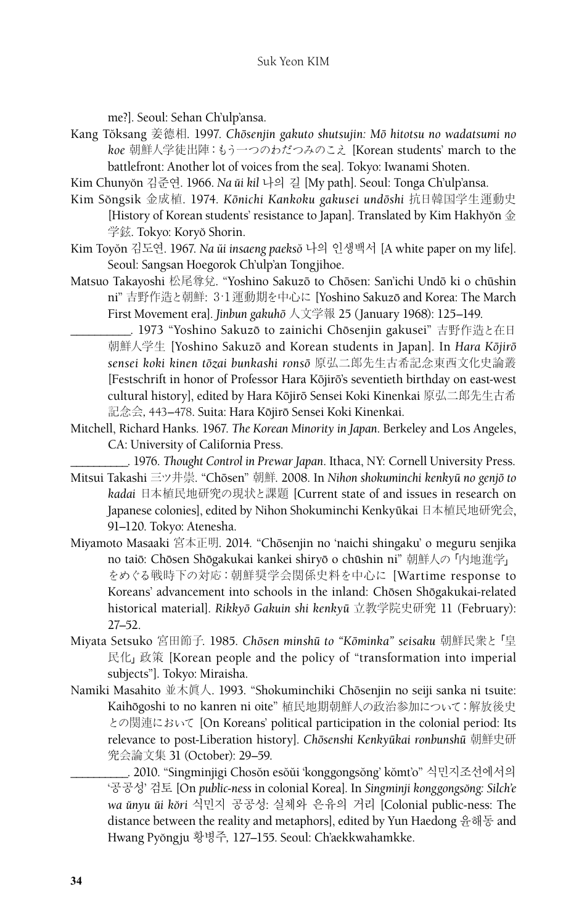me?]. Seoul: Sehan Ch'ulp'ansa.

- Kang Tŏksang 姜德相. 1997. *Chōsenjin gakuto shutsujin: Mō hitotsu no wadatsumi no koe* 朝鮮人学徒出陣:もう一つのわだつみのこえ [Korean students' march to the battlefront: Another lot of voices from the sea]. Tokyo: Iwanami Shoten.
- Kim Chunyo˘n 김준연. 1966. *Na u˘i kil* 나의 길 [My path]. Seoul: Tonga Ch'ulp'ansa.
- Kim Sŏngsik 金成植. 1974. Kōnichi Kankoku gakusei undōshi 抗日韓国学生運動史 [History of Korean students' resistance to Japan]. Translated by Kim Hakhyŏn  $\hat{\pm}$ 学鉉. Tokyo: Koryŏ Shorin.
- Kim Toyŏn 김도연. 1967. *Na ŭi insaeng paeksŏ* 나의 인생백서 [A white paper on my life]. Seoul: Sangsan Hoegorok Ch'ulp'an Tongjihoe.
- Matsuo Takayoshi 松尾尊兌. "Yoshino Sakuzō to Chōsen: San'ichi Undō ki o chūshin ni" 吉野作造と朝鮮: 3·1運動期を中心に [Yoshino Sakuzō and Korea: The March First Movement era]. *Jinbun gakuhoˉ* 人文学報 25 (January 1968): 125–149.
	- \_. 1973 "Yoshino Sakuzō to zainichi Chōsenjin gakusei" 吉野作造と在日 朝鮮人学生 [Yoshino Sakuzō and Korean students in Japan]. In *Hara Kōjirō* sensei koki kinen tōzai bunkashi ronsō 原弘二郎先生古希記念東西文化史論叢 [Festschrift in honor of Professor Hara Kōjirō's seventieth birthday on east-west cultural history], edited by Hara Kōjirō Sensei Koki Kinenkai 原弘二郎先生古希 記念会, 443–478. Suita: Hara Kōjirō Sensei Koki Kinenkai.
- Mitchell, Richard Hanks. 1967. *The Korean Minority in Japan*. Berkeley and Los Angeles, CA: University of California Press.
	- \_\_\_\_\_\_\_\_\_\_. 1976. *Thought Control in Prewar Japan*. Ithaca, NY: Cornell University Press.
- Mitsui Takashi 三ツ井崇. "Chōsen" 朝鮮. 2008. In *Nihon shokuminchi kenkyū no genjō to kadai* 日本植民地研究の現状と課題 [Current state of and issues in research on Japanese colonies], edited by Nihon Shokuminchi Kenkyūkai 日本植民地研究会, 91–120. Tokyo: Atenesha.
- Miyamoto Masaaki 宮本正明. 2014. "Chōsenjin no 'naichi shingaku' o meguru senjika no taiō: Chōsen Shōgakukai kankei shiryō o chūshin ni" 朝鮮人の「内地進学」 をめぐる戦時下の対応:朝鮮奨学会関係史料を中心に [Wartime response to Koreans' advancement into schools in the inland: Chōsen Shōgakukai-related historical material]. *Rikkyoˉ Gakuin shi kenkyuˉ* 立教学院史研究 11 (February): 27–52.
- Miyata Setsuko 宮田節子. 1985. *Chōsen minshū to "Kōminka" seisaku* 朝鮮民衆と「皇 民化」政策 [Korean people and the policy of "transformation into imperial subjects"]. Tokyo: Miraisha.
- Namiki Masahito 並木眞人. 1993. "Shokuminchiki Chōsenjin no seiji sanka ni tsuite: Kaihōgoshi to no kanren ni oite"植民地期朝鮮人の政治参加について:解放後史 との関連において [On Koreans' political participation in the colonial period: Its relevance to post-Liberation history]. *Chōsenshi Kenkyūkai ronbunshū* 朝鮮史研 究会論文集 31 (October): 29–59.
	- . 2010. "Singminjigi Chosŏn esŏŭi 'konggongsŏng' kŏmt'o" 식민지조선에서의 '공공성' 검토 [On *public-ness* in colonial Korea]. In *Singminji konggongso˘ng: Silch'e wa u˘nyu u˘i ko˘ri* 식민지 공공성: 실체와 은유의 거리 [Colonial public-ness: The distance between the reality and metaphors], edited by Yun Haedong 윤해동 and Hwang Pyŏngju 황병주, 127–155. Seoul: Ch'aekkwahamkke.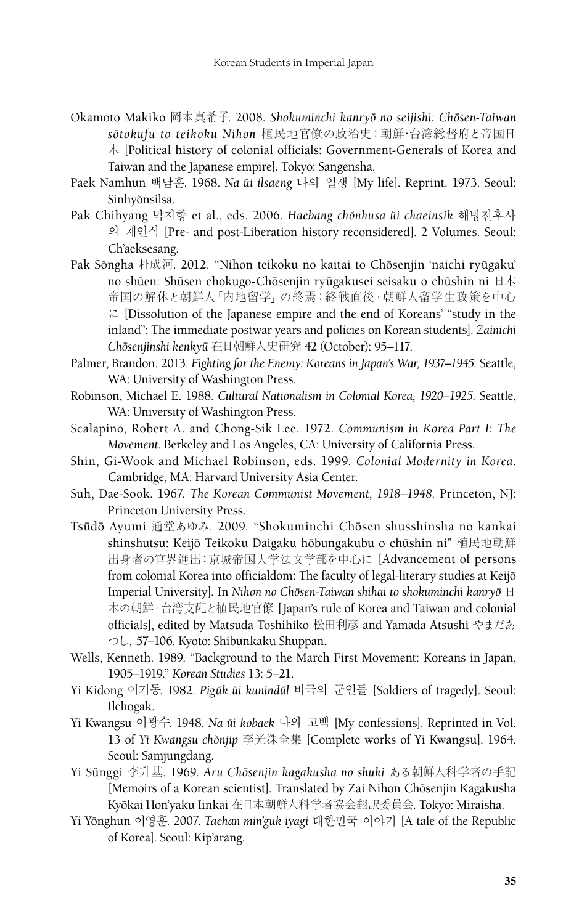- Okamoto Makiko 岡本真希子. 2008. Shokuminchi kanryō no seijishi: Chōsen-Taiwan *soˉtokufu to teikoku Nihon* 植民地官僚の政治史:朝鮮·台湾総督府と帝国日 本 [Political history of colonial officials: Government-Generals of Korea and Taiwan and the Japanese empire]. Tokyo: Sangensha.
- Paek Namhun 백남훈. 1968. *Na u˘i ilsaeng* 나의 일생 [My life]. Reprint. 1973. Seoul: Sinhv<sub>onsilsa.</sub>
- Pak Chihyang 박지향 et al., eds. 2006. *Haebang cho˘nhusa u˘i chaeinsik* 해방전후사 의 재인식 [Pre- and post-Liberation history reconsidered]. 2 Volumes. Seoul: Ch'aeksesang.
- Pak Sŏngha 朴成河. 2012. "Nihon teikoku no kaitai to Chōsenjin 'naichi ryūgaku' no shūen: Shūsen chokugo-Chōsenjin ryūgakusei seisaku o chūshin ni 日本 帝国の解体と朝鮮人「内地留学」の終焉:終戦直後・朝鮮人留学生政策を中心 に [Dissolution of the Japanese empire and the end of Koreans' "study in the inland": The immediate postwar years and policies on Korean students]. *Zainichi Choˉsenjinshi kenkyuˉ* 在日朝鮮人史研究 42 (October): 95–117.
- Palmer, Brandon. 2013. *Fighting for the Enemy: Koreans in Japan's War, 1937–1945.* Seattle, WA: University of Washington Press.
- Robinson, Michael E. 1988. *Cultural Nationalism in Colonial Korea, 1920–1925*. Seattle, WA: University of Washington Press.
- Scalapino, Robert A. and Chong-Sik Lee. 1972. *Communism in Korea Part I: The Movement*. Berkeley and Los Angeles, CA: University of California Press.
- Shin, Gi-Wook and Michael Robinson, eds. 1999. *Colonial Modernity in Korea*. Cambridge, MA: Harvard University Asia Center.
- Suh, Dae-Sook. 1967. *The Korean Communist Movement, 1918–1948.* Princeton, NJ: Princeton University Press.
- Tsūdō Ayumi 通堂あゆみ. 2009. "Shokuminchi Chōsen shusshinsha no kankai shinshutsu: Keijō Teikoku Daigaku hōbungakubu o chūshin ni"植民地朝鮮 出身者の官界進出:京城帝国大学法文学部を中心に [Advancement of persons from colonial Korea into officialdom: The faculty of legal-literary studies at Keijō Imperial University]. In *Nihon no Chōsen-Taiwan shihai to shokuminchi kanryō* 日 本の朝鮮・台湾支配と植民地官僚 [Japan's rule of Korea and Taiwan and colonial officials], edited by Matsuda Toshihiko 松田利彦 and Yamada Atsushi やまだあ つし, 57–106. Kyoto: Shibunkaku Shuppan.
- Wells, Kenneth. 1989. "Background to the March First Movement: Koreans in Japan, 1905–1919." *Korean Studies* 13: 5–21.
- Yi Kidong 이기동. 1982. Pigŭk ŭi kunindŭl 비극의 군인들 [Soldiers of tragedy]. Seoul: Ilchogak.
- Yi Kwangsu 이광수. 1948. *Na u˘i kobaek* 나의 고백 [My confessions]. Reprinted in Vol. 13 of *Yi Kwangsu cho˘njip* 李光洙全集 [Complete works of Yi Kwangsu]. 1964. Seoul: Samjungdang.
- Yi Sŭnggi 李升基. 1969. *Aru Chōsenjin kagakusha no shuki あ*る朝鮮人科学者の手記 [Memoirs of a Korean scientist]. Translated by Zai Nihon Chōsenjin Kagakusha Kyōkai Hon'yaku Iinkai 在日本朝鮮人科学者協会翻訳委員会. Tokyo: Miraisha.
- Yi Yo˘nghun 이영훈. 2007. *Taehan min'guk iyagi* 대한민국 이야기 [A tale of the Republic of Korea]. Seoul: Kip'arang.